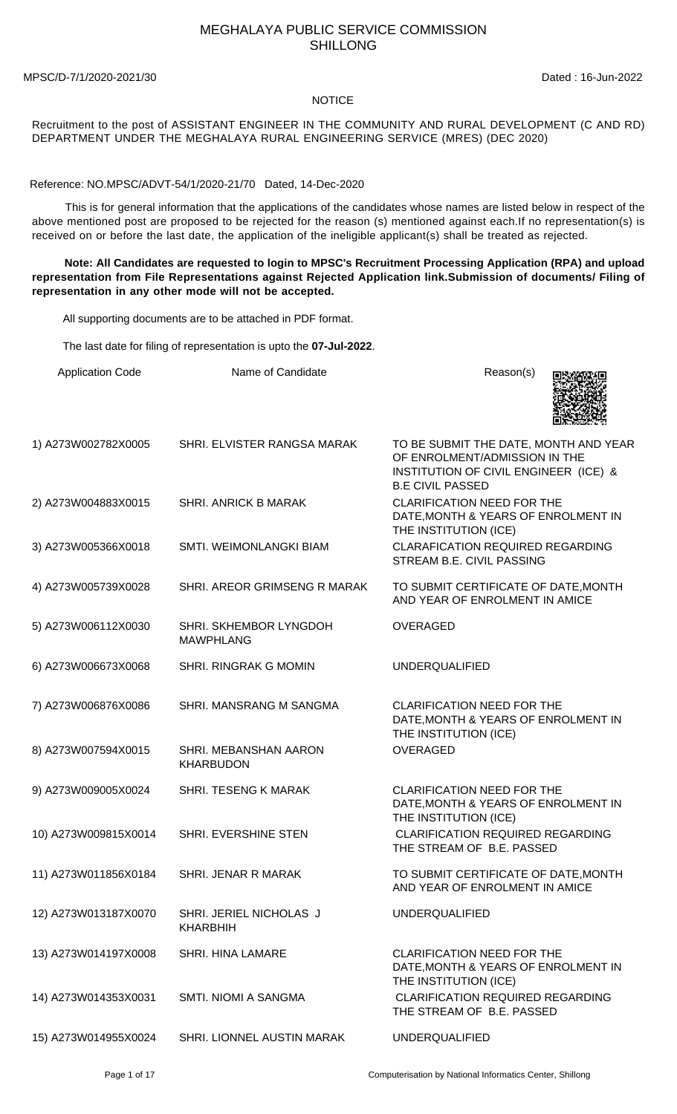## MEGHALAYA PUBLIC SERVICE COMMISSION SHILLONG

MPSC/D-7/1/2020-2021/30 Dated : 16-Jun-2022

## **NOTICE**

Recruitment to the post of ASSISTANT ENGINEER IN THE COMMUNITY AND RURAL DEVELOPMENT (C AND RD) DEPARTMENT UNDER THE MEGHALAYA RURAL ENGINEERING SERVICE (MRES) (DEC 2020)

Reference: NO.MPSC/ADVT-54/1/2020-21/70 Dated, 14-Dec-2020

 This is for general information that the applications of the candidates whose names are listed below in respect of the above mentioned post are proposed to be rejected for the reason (s) mentioned against each.If no representation(s) is received on or before the last date, the application of the ineligible applicant(s) shall be treated as rejected.

 **Note: All Candidates are requested to login to MPSC's Recruitment Processing Application (RPA) and upload representation from File Representations against Rejected Application link.Submission of documents/ Filing of representation in any other mode will not be accepted.**

All supporting documents are to be attached in PDF format.

The last date for filing of representation is upto the **07-Jul-2022**.

| <b>Application Code</b> | Name of Candidate                          | Reason(s)                                                                                                                                  |
|-------------------------|--------------------------------------------|--------------------------------------------------------------------------------------------------------------------------------------------|
| 1) A273W002782X0005     | SHRI. ELVISTER RANGSA MARAK                | TO BE SUBMIT THE DATE, MONTH AND YEAR<br>OF ENROLMENT/ADMISSION IN THE<br>INSTITUTION OF CIVIL ENGINEER (ICE) &<br><b>B.E CIVIL PASSED</b> |
| 2) A273W004883X0015     | SHRI. ANRICK B MARAK                       | <b>CLARIFICATION NEED FOR THE</b><br>DATE, MONTH & YEARS OF ENROLMENT IN<br>THE INSTITUTION (ICE)                                          |
| 3) A273W005366X0018     | SMTI. WEIMONLANGKI BIAM                    | <b>CLARAFICATION REQUIRED REGARDING</b><br>STREAM B.E. CIVIL PASSING                                                                       |
| 4) A273W005739X0028     | SHRI. AREOR GRIMSENG R MARAK               | TO SUBMIT CERTIFICATE OF DATE, MONTH<br>AND YEAR OF ENROLMENT IN AMICE                                                                     |
| 5) A273W006112X0030     | SHRI. SKHEMBOR LYNGDOH<br><b>MAWPHLANG</b> | <b>OVERAGED</b>                                                                                                                            |
| 6) A273W006673X0068     | SHRI. RINGRAK G MOMIN                      | <b>UNDERQUALIFIED</b>                                                                                                                      |
| 7) A273W006876X0086     | SHRI. MANSRANG M SANGMA                    | <b>CLARIFICATION NEED FOR THE</b><br>DATE, MONTH & YEARS OF ENROLMENT IN<br>THE INSTITUTION (ICE)                                          |
| 8) A273W007594X0015     | SHRI. MEBANSHAN AARON<br><b>KHARBUDON</b>  | <b>OVERAGED</b>                                                                                                                            |
| 9) A273W009005X0024     | SHRI. TESENG K MARAK                       | <b>CLARIFICATION NEED FOR THE</b><br>DATE, MONTH & YEARS OF ENROLMENT IN<br>THE INSTITUTION (ICE)                                          |
| 10) A273W009815X0014    | SHRI. EVERSHINE STEN                       | <b>CLARIFICATION REQUIRED REGARDING</b><br>THE STREAM OF B.E. PASSED                                                                       |
| 11) A273W011856X0184    | SHRI. JENAR R MARAK                        | TO SUBMIT CERTIFICATE OF DATE, MONTH<br>AND YEAR OF ENROLMENT IN AMICE                                                                     |
| 12) A273W013187X0070    | SHRI. JERIEL NICHOLAS J<br><b>KHARBHIH</b> | <b>UNDERQUALIFIED</b>                                                                                                                      |
| 13) A273W014197X0008    | <b>SHRI. HINA LAMARE</b>                   | <b>CLARIFICATION NEED FOR THE</b><br>DATE, MONTH & YEARS OF ENROLMENT IN<br>THE INSTITUTION (ICE)                                          |
| 14) A273W014353X0031    | SMTI. NIOMI A SANGMA                       | <b>CLARIFICATION REQUIRED REGARDING</b><br>THE STREAM OF B.E. PASSED                                                                       |
| 15) A273W014955X0024    | SHRI. LIONNEL AUSTIN MARAK                 | <b>UNDERQUALIFIED</b>                                                                                                                      |

Page 1 of 17 Computerisation by National Informatics Center, Shillong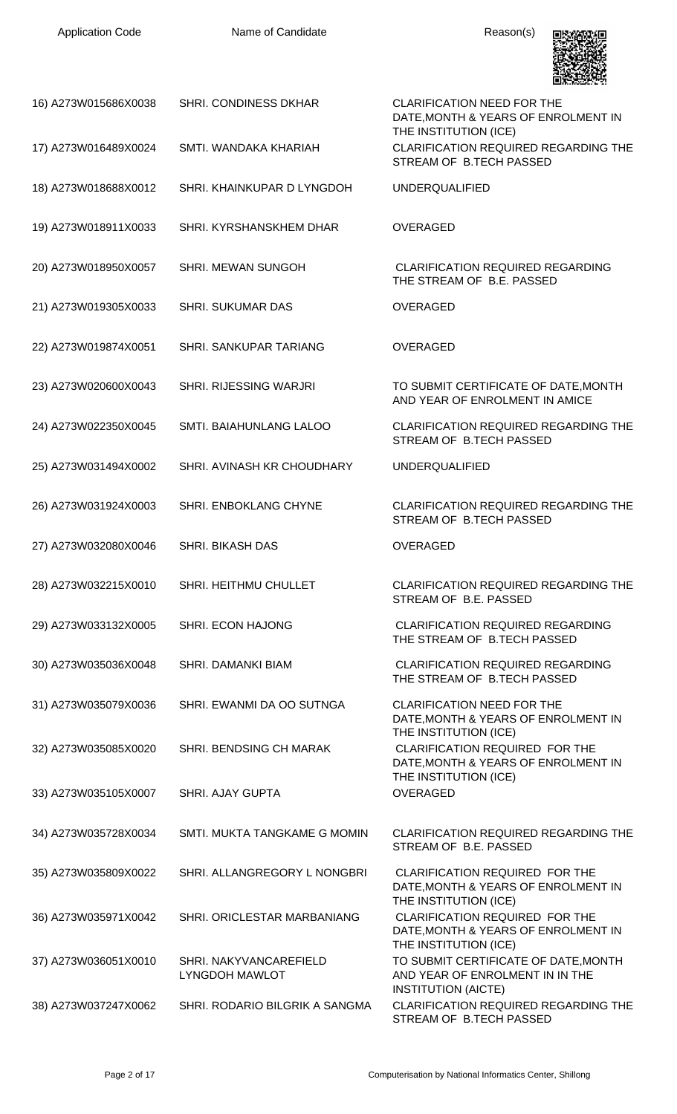| <b>Application Code</b> | Name of Candidate                               | Reason(s)                                                                                             |
|-------------------------|-------------------------------------------------|-------------------------------------------------------------------------------------------------------|
| 16) A273W015686X0038    | SHRI. CONDINESS DKHAR                           | <b>CLARIFICATION NEED FOR THE</b><br>DATE, MONTH & YEARS OF ENROLMENT IN<br>THE INSTITUTION (ICE)     |
| 17) A273W016489X0024    | SMTI. WANDAKA KHARIAH                           | <b>CLARIFICATION REQUIRED REGARDING THE</b><br>STREAM OF B.TECH PASSED                                |
| 18) A273W018688X0012    | SHRI. KHAINKUPAR D LYNGDOH                      | <b>UNDERQUALIFIED</b>                                                                                 |
| 19) A273W018911X0033    | SHRI. KYRSHANSKHEM DHAR                         | <b>OVERAGED</b>                                                                                       |
| 20) A273W018950X0057    | SHRI. MEWAN SUNGOH                              | <b>CLARIFICATION REQUIRED REGARDING</b><br>THE STREAM OF B.E. PASSED                                  |
| 21) A273W019305X0033    | <b>SHRI. SUKUMAR DAS</b>                        | <b>OVERAGED</b>                                                                                       |
| 22) A273W019874X0051    | SHRI. SANKUPAR TARIANG                          | <b>OVERAGED</b>                                                                                       |
| 23) A273W020600X0043    | SHRI. RIJESSING WARJRI                          | TO SUBMIT CERTIFICATE OF DATE, MONTH<br>AND YEAR OF ENROLMENT IN AMICE                                |
| 24) A273W022350X0045    | SMTI. BAIAHUNLANG LALOO                         | CLARIFICATION REQUIRED REGARDING THE<br>STREAM OF B.TECH PASSED                                       |
| 25) A273W031494X0002    | SHRI. AVINASH KR CHOUDHARY                      | <b>UNDERQUALIFIED</b>                                                                                 |
| 26) A273W031924X0003    | SHRI. ENBOKLANG CHYNE                           | <b>CLARIFICATION REQUIRED REGARDING THE</b><br>STREAM OF B TECH PASSED                                |
| 27) A273W032080X0046    | <b>SHRI. BIKASH DAS</b>                         | <b>OVERAGED</b>                                                                                       |
| 28) A273W032215X0010    | SHRI. HEITHMU CHULLET                           | CLARIFICATION REQUIRED REGARDING THE<br>STREAM OF B.E. PASSED                                         |
| 29) A273W033132X0005    | SHRI. ECON HAJONG                               | <b>CLARIFICATION REQUIRED REGARDING</b><br>THE STREAM OF B.TECH PASSED                                |
| 30) A273W035036X0048    | <b>SHRI. DAMANKI BIAM</b>                       | <b>CLARIFICATION REQUIRED REGARDING</b><br>THE STREAM OF B.TECH PASSED                                |
| 31) A273W035079X0036    | SHRI. EWANMI DA OO SUTNGA                       | <b>CLARIFICATION NEED FOR THE</b><br>DATE, MONTH & YEARS OF ENROLMENT IN<br>THE INSTITUTION (ICE)     |
| 32) A273W035085X0020    | SHRI. BENDSING CH MARAK                         | CLARIFICATION REQUIRED FOR THE<br>DATE, MONTH & YEARS OF ENROLMENT IN                                 |
| 33) A273W035105X0007    | SHRI. AJAY GUPTA                                | THE INSTITUTION (ICE)<br><b>OVERAGED</b>                                                              |
| 34) A273W035728X0034    | SMTI. MUKTA TANGKAME G MOMIN                    | <b>CLARIFICATION REQUIRED REGARDING THE</b><br>STREAM OF B.E. PASSED                                  |
| 35) A273W035809X0022    | SHRI. ALLANGREGORY L NONGBRI                    | CLARIFICATION REQUIRED FOR THE<br>DATE, MONTH & YEARS OF ENROLMENT IN                                 |
| 36) A273W035971X0042    | SHRI. ORICLESTAR MARBANIANG                     | THE INSTITUTION (ICE)<br><b>CLARIFICATION REQUIRED FOR THE</b><br>DATE, MONTH & YEARS OF ENROLMENT IN |
| 37) A273W036051X0010    | SHRI. NAKYVANCAREFIELD<br><b>LYNGDOH MAWLOT</b> | THE INSTITUTION (ICE)<br>TO SUBMIT CERTIFICATE OF DATE, MONTH<br>AND YEAR OF ENROLMENT IN IN THE      |
| 38) A273W037247X0062    | SHRI. RODARIO BILGRIK A SANGMA                  | <b>INSTITUTION (AICTE)</b><br>CLARIFICATION REQUIRED REGARDING THE<br>STREAM OF B.TECH PASSED         |

Application Code **Name of Candidate Name of Candidate Reason(s)**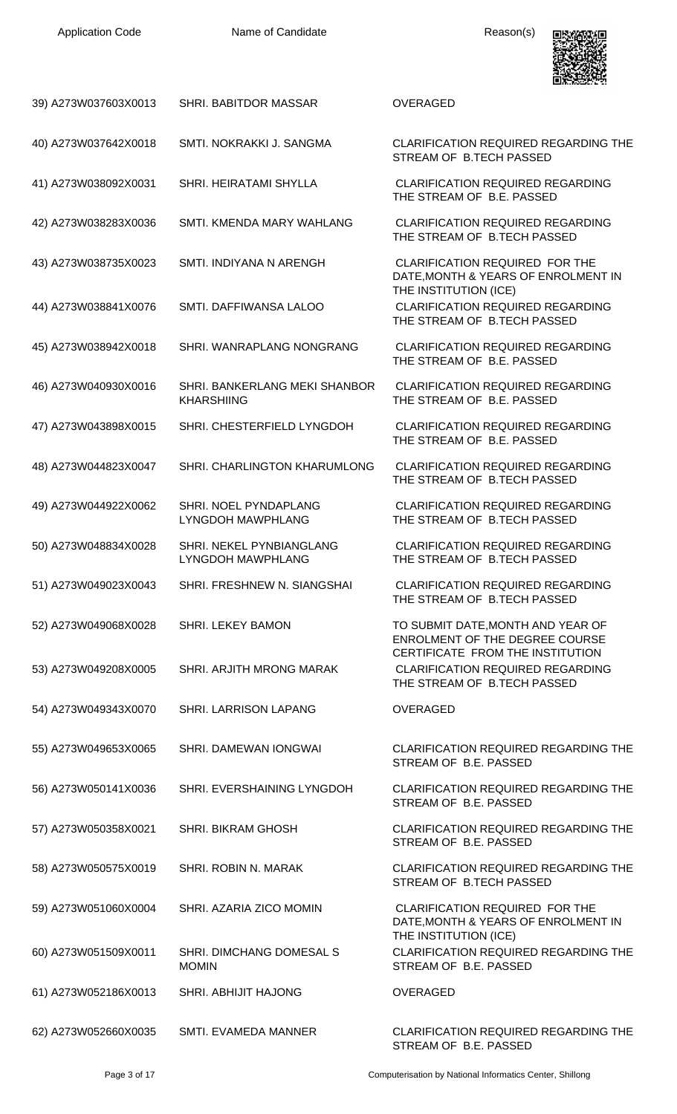

| 39) A273W037603X0013 | SHRI. BABITDOR MASSAR                              | <b>OVERAGED</b>                                                                                                |
|----------------------|----------------------------------------------------|----------------------------------------------------------------------------------------------------------------|
| 40) A273W037642X0018 | SMTI. NOKRAKKI J. SANGMA                           | CLARIFICATION REQUIRED REGARDING THE<br>STREAM OF B.TECH PASSED                                                |
| 41) A273W038092X0031 | SHRI. HEIRATAMI SHYLLA                             | <b>CLARIFICATION REQUIRED REGARDING</b><br>THE STREAM OF B.E. PASSED                                           |
| 42) A273W038283X0036 | SMTI. KMENDA MARY WAHLANG                          | <b>CLARIFICATION REQUIRED REGARDING</b><br>THE STREAM OF B.TECH PASSED                                         |
| 43) A273W038735X0023 | SMTI. INDIYANA N ARENGH                            | CLARIFICATION REQUIRED FOR THE<br>DATE, MONTH & YEARS OF ENROLMENT IN<br>THE INSTITUTION (ICE)                 |
| 44) A273W038841X0076 | SMTI. DAFFIWANSA LALOO                             | <b>CLARIFICATION REQUIRED REGARDING</b><br>THE STREAM OF B.TECH PASSED                                         |
| 45) A273W038942X0018 | SHRI. WANRAPLANG NONGRANG                          | <b>CLARIFICATION REQUIRED REGARDING</b><br>THE STREAM OF B.E. PASSED                                           |
| 46) A273W040930X0016 | SHRI. BANKERLANG MEKI SHANBOR<br><b>KHARSHIING</b> | <b>CLARIFICATION REQUIRED REGARDING</b><br>THE STREAM OF B.E. PASSED                                           |
| 47) A273W043898X0015 | SHRI. CHESTERFIELD LYNGDOH                         | <b>CLARIFICATION REQUIRED REGARDING</b><br>THE STREAM OF B.E. PASSED                                           |
| 48) A273W044823X0047 | SHRI. CHARLINGTON KHARUMLONG                       | <b>CLARIFICATION REQUIRED REGARDING</b><br>THE STREAM OF B.TECH PASSED                                         |
| 49) A273W044922X0062 | SHRI. NOEL PYNDAPLANG<br>LYNGDOH MAWPHLANG         | <b>CLARIFICATION REQUIRED REGARDING</b><br>THE STREAM OF B.TECH PASSED                                         |
| 50) A273W048834X0028 | SHRI. NEKEL PYNBIANGLANG<br>LYNGDOH MAWPHLANG      | <b>CLARIFICATION REQUIRED REGARDING</b><br>THE STREAM OF B.TECH PASSED                                         |
| 51) A273W049023X0043 | SHRI. FRESHNEW N. SIANGSHAI                        | <b>CLARIFICATION REQUIRED REGARDING</b><br>THE STREAM OF B.TECH PASSED                                         |
| 52) A273W049068X0028 | <b>SHRI. LEKEY BAMON</b>                           | TO SUBMIT DATE, MONTH AND YEAR OF<br><b>ENROLMENT OF THE DEGREE COURSE</b><br>CERTIFICATE FROM THE INSTITUTION |
| 53) A273W049208X0005 | SHRI. ARJITH MRONG MARAK                           | <b>CLARIFICATION REQUIRED REGARDING</b><br>THE STREAM OF B.TECH PASSED                                         |
| 54) A273W049343X0070 | SHRI. LARRISON LAPANG                              | <b>OVERAGED</b>                                                                                                |
| 55) A273W049653X0065 | SHRI. DAMEWAN IONGWAI                              | <b>CLARIFICATION REQUIRED REGARDING THE</b><br>STREAM OF B.E. PASSED                                           |
| 56) A273W050141X0036 | SHRI. EVERSHAINING LYNGDOH                         | <b>CLARIFICATION REQUIRED REGARDING THE</b><br>STREAM OF B.E. PASSED                                           |
| 57) A273W050358X0021 | SHRI. BIKRAM GHOSH                                 | <b>CLARIFICATION REQUIRED REGARDING THE</b><br>STREAM OF B.E. PASSED                                           |
| 58) A273W050575X0019 | SHRI. ROBIN N. MARAK                               | <b>CLARIFICATION REQUIRED REGARDING THE</b><br>STREAM OF B.TECH PASSED                                         |
| 59) A273W051060X0004 | SHRI. AZARIA ZICO MOMIN                            | <b>CLARIFICATION REQUIRED FOR THE</b><br>DATE, MONTH & YEARS OF ENROLMENT IN<br>THE INSTITUTION (ICE)          |
| 60) A273W051509X0011 | SHRI. DIMCHANG DOMESAL S<br><b>MOMIN</b>           | CLARIFICATION REQUIRED REGARDING THE<br>STREAM OF B.E. PASSED                                                  |
| 61) A273W052186X0013 | SHRI. ABHIJIT HAJONG                               | OVERAGED                                                                                                       |
| 62) A273W052660X0035 | SMTI. EVAMEDA MANNER                               | CLARIFICATION REQUIRED REGARDING THE<br>STREAM OF B.E. PASSED                                                  |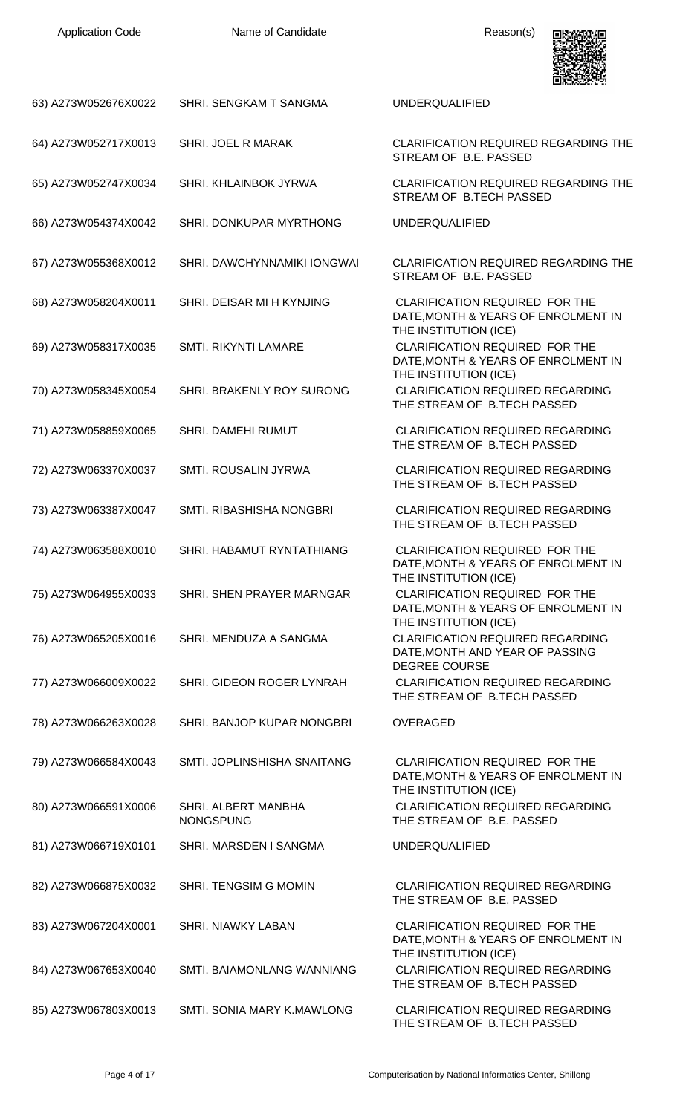

| 63) A273W052676X0022 | SHRI. SENGKAM T SANGMA                  | <b>UNDERQUALIFIED</b>                                                                                 |
|----------------------|-----------------------------------------|-------------------------------------------------------------------------------------------------------|
| 64) A273W052717X0013 | SHRI. JOEL R MARAK                      | CLARIFICATION REQUIRED REGARDING THE<br>STREAM OF B.E. PASSED                                         |
| 65) A273W052747X0034 | SHRI. KHLAINBOK JYRWA                   | CLARIFICATION REQUIRED REGARDING THE<br>STREAM OF B.TECH PASSED                                       |
| 66) A273W054374X0042 | SHRI. DONKUPAR MYRTHONG                 | <b>UNDERQUALIFIED</b>                                                                                 |
| 67) A273W055368X0012 | SHRI. DAWCHYNNAMIKI IONGWAI             | CLARIFICATION REQUIRED REGARDING THE<br>STREAM OF B.E. PASSED                                         |
| 68) A273W058204X0011 | SHRI. DEISAR MI H KYNJING               | CLARIFICATION REQUIRED FOR THE<br>DATE, MONTH & YEARS OF ENROLMENT IN                                 |
| 69) A273W058317X0035 | SMTI. RIKYNTI LAMARE                    | THE INSTITUTION (ICE)<br><b>CLARIFICATION REQUIRED FOR THE</b><br>DATE, MONTH & YEARS OF ENROLMENT IN |
| 70) A273W058345X0054 | SHRI. BRAKENLY ROY SURONG               | THE INSTITUTION (ICE)<br><b>CLARIFICATION REQUIRED REGARDING</b><br>THE STREAM OF B.TECH PASSED       |
| 71) A273W058859X0065 | SHRI. DAMEHI RUMUT                      | <b>CLARIFICATION REQUIRED REGARDING</b><br>THE STREAM OF B.TECH PASSED                                |
| 72) A273W063370X0037 | SMTI. ROUSALIN JYRWA                    | <b>CLARIFICATION REQUIRED REGARDING</b><br>THE STREAM OF B.TECH PASSED                                |
| 73) A273W063387X0047 | SMTI. RIBASHISHA NONGBRI                | <b>CLARIFICATION REQUIRED REGARDING</b><br>THE STREAM OF B.TECH PASSED                                |
| 74) A273W063588X0010 | SHRI. HABAMUT RYNTATHIANG               | CLARIFICATION REQUIRED FOR THE<br>DATE, MONTH & YEARS OF ENROLMENT IN<br>THE INSTITUTION (ICE)        |
| 75) A273W064955X0033 | SHRI. SHEN PRAYER MARNGAR               | CLARIFICATION REQUIRED FOR THE<br>DATE, MONTH & YEARS OF ENROLMENT IN<br>THE INSTITUTION (ICE)        |
| 76) A273W065205X0016 | SHRI. MENDUZA A SANGMA                  | <b>CLARIFICATION REQUIRED REGARDING</b><br>DATE, MONTH AND YEAR OF PASSING<br><b>DEGREE COURSE</b>    |
| 77) A273W066009X0022 | SHRI. GIDEON ROGER LYNRAH               | <b>CLARIFICATION REQUIRED REGARDING</b><br>THE STREAM OF B.TECH PASSED                                |
| 78) A273W066263X0028 | SHRI. BANJOP KUPAR NONGBRI              | <b>OVERAGED</b>                                                                                       |
| 79) A273W066584X0043 | SMTI. JOPLINSHISHA SNAITANG             | <b>CLARIFICATION REQUIRED FOR THE</b><br>DATE, MONTH & YEARS OF ENROLMENT IN<br>THE INSTITUTION (ICE) |
| 80) A273W066591X0006 | SHRI. ALBERT MANBHA<br><b>NONGSPUNG</b> | <b>CLARIFICATION REQUIRED REGARDING</b><br>THE STREAM OF B.E. PASSED                                  |
| 81) A273W066719X0101 | SHRI. MARSDEN I SANGMA                  | <b>UNDERQUALIFIED</b>                                                                                 |
| 82) A273W066875X0032 | SHRI. TENGSIM G MOMIN                   | <b>CLARIFICATION REQUIRED REGARDING</b><br>THE STREAM OF B.E. PASSED                                  |
| 83) A273W067204X0001 | <b>SHRI. NIAWKY LABAN</b>               | <b>CLARIFICATION REQUIRED FOR THE</b><br>DATE, MONTH & YEARS OF ENROLMENT IN                          |
| 84) A273W067653X0040 | SMTI. BAIAMONLANG WANNIANG              | THE INSTITUTION (ICE)<br><b>CLARIFICATION REQUIRED REGARDING</b><br>THE STREAM OF B.TECH PASSED       |
| 85) A273W067803X0013 | SMTI. SONIA MARY K.MAWLONG              | <b>CLARIFICATION REQUIRED REGARDING</b><br>THE STREAM OF B.TECH PASSED                                |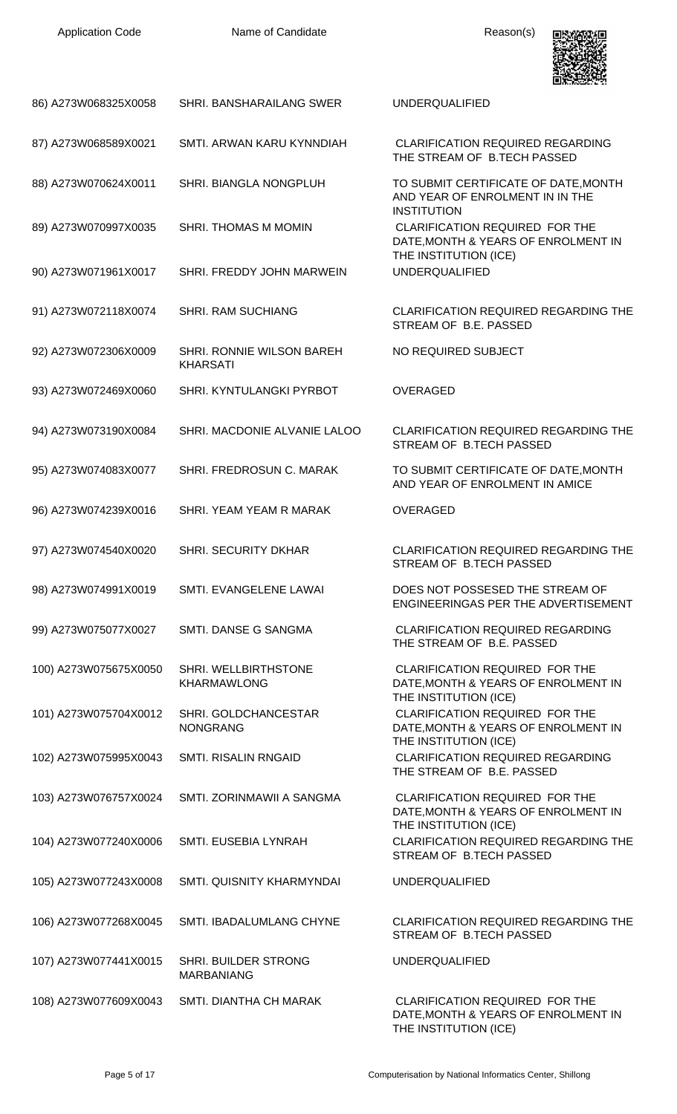

| 86) A273W068325X0058  | SHRI. BANSHARAILANG SWER                     | <b>UNDERQUALIFIED</b>                                                                                 |
|-----------------------|----------------------------------------------|-------------------------------------------------------------------------------------------------------|
| 87) A273W068589X0021  | SMTI. ARWAN KARU KYNNDIAH                    | <b>CLARIFICATION REQUIRED REGARDING</b><br>THE STREAM OF B.TECH PASSED                                |
| 88) A273W070624X0011  | SHRI. BIANGLA NONGPLUH                       | TO SUBMIT CERTIFICATE OF DATE, MONTH<br>AND YEAR OF ENROLMENT IN IN THE<br><b>INSTITUTION</b>         |
| 89) A273W070997X0035  | SHRI. THOMAS M MOMIN                         | CLARIFICATION REQUIRED FOR THE<br>DATE, MONTH & YEARS OF ENROLMENT IN                                 |
| 90) A273W071961X0017  | SHRI. FREDDY JOHN MARWEIN                    | THE INSTITUTION (ICE)<br><b>UNDERQUALIFIED</b>                                                        |
| 91) A273W072118X0074  | <b>SHRI. RAM SUCHIANG</b>                    | <b>CLARIFICATION REQUIRED REGARDING THE</b><br>STREAM OF B.E. PASSED                                  |
| 92) A273W072306X0009  | SHRI. RONNIE WILSON BAREH<br><b>KHARSATI</b> | NO REQUIRED SUBJECT                                                                                   |
| 93) A273W072469X0060  | SHRI. KYNTULANGKI PYRBOT                     | <b>OVERAGED</b>                                                                                       |
| 94) A273W073190X0084  | SHRI. MACDONIE ALVANIE LALOO                 | <b>CLARIFICATION REQUIRED REGARDING THE</b><br>STREAM OF B.TECH PASSED                                |
| 95) A273W074083X0077  | SHRI. FREDROSUN C. MARAK                     | TO SUBMIT CERTIFICATE OF DATE, MONTH<br>AND YEAR OF ENROLMENT IN AMICE                                |
| 96) A273W074239X0016  | SHRI. YEAM YEAM R MARAK                      | <b>OVERAGED</b>                                                                                       |
| 97) A273W074540X0020  | SHRI. SECURITY DKHAR                         | CLARIFICATION REQUIRED REGARDING THE<br>STREAM OF B.TECH PASSED                                       |
| 98) A273W074991X0019  | SMTI. EVANGELENE LAWAI                       | DOES NOT POSSESED THE STREAM OF<br>ENGINEERINGAS PER THE ADVERTISEMENT                                |
| 99) A273W075077X0027  | SMTI. DANSE G SANGMA                         | <b>CLARIFICATION REQUIRED REGARDING</b><br>THE STREAM OF B.E. PASSED                                  |
| 100) A273W075675X0050 | SHRI. WELLBIRTHSTONE<br><b>KHARMAWLONG</b>   | CLARIFICATION REQUIRED FOR THE<br>DATE, MONTH & YEARS OF ENROLMENT IN<br>THE INSTITUTION (ICE)        |
| 101) A273W075704X0012 | SHRI. GOLDCHANCESTAR<br><b>NONGRANG</b>      | CLARIFICATION REQUIRED FOR THE<br>DATE, MONTH & YEARS OF ENROLMENT IN<br>THE INSTITUTION (ICE)        |
| 102) A273W075995X0043 | <b>SMTI. RISALIN RNGAID</b>                  | <b>CLARIFICATION REQUIRED REGARDING</b><br>THE STREAM OF B.E. PASSED                                  |
| 103) A273W076757X0024 | SMTI. ZORINMAWII A SANGMA                    | <b>CLARIFICATION REQUIRED FOR THE</b><br>DATE, MONTH & YEARS OF ENROLMENT IN<br>THE INSTITUTION (ICE) |
| 104) A273W077240X0006 | SMTI. EUSEBIA LYNRAH                         | CLARIFICATION REQUIRED REGARDING THE<br>STREAM OF B.TECH PASSED                                       |
| 105) A273W077243X0008 | SMTI. QUISNITY KHARMYNDAI                    | <b>UNDERQUALIFIED</b>                                                                                 |
| 106) A273W077268X0045 | SMTI. IBADALUMLANG CHYNE                     | <b>CLARIFICATION REQUIRED REGARDING THE</b><br>STREAM OF B.TECH PASSED                                |
| 107) A273W077441X0015 | SHRI. BUILDER STRONG<br><b>MARBANIANG</b>    | <b>UNDERQUALIFIED</b>                                                                                 |
| 108) A273W077609X0043 | SMTI. DIANTHA CH MARAK                       | CLARIFICATION REQUIRED FOR THE<br>DATE, MONTH & YEARS OF ENROLMENT IN<br>THE INSTITUTION (ICE)        |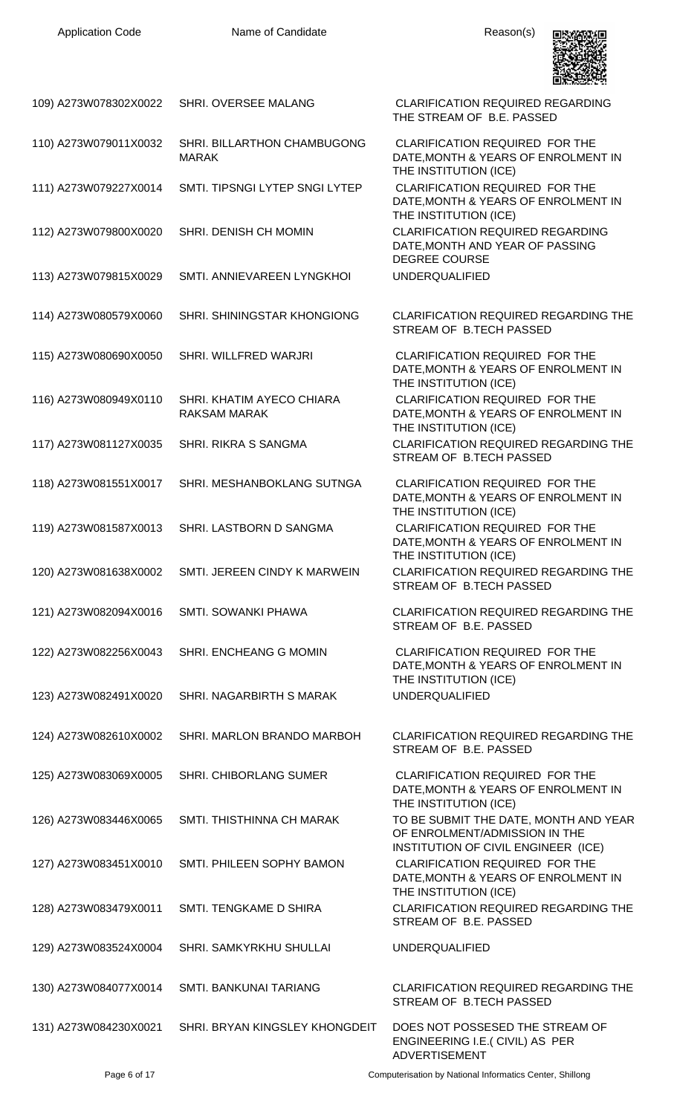

| 109) A273W078302X0022 | SHRI. OVERSEE MALANG                             | <b>CLARIFICATION REQUIRED REGARDING</b><br>THE STREAM OF B.E. PASSED                                          |
|-----------------------|--------------------------------------------------|---------------------------------------------------------------------------------------------------------------|
| 110) A273W079011X0032 | SHRI. BILLARTHON CHAMBUGONG<br><b>MARAK</b>      | <b>CLARIFICATION REQUIRED FOR THE</b><br>DATE, MONTH & YEARS OF ENROLMENT IN<br>THE INSTITUTION (ICE)         |
| 111) A273W079227X0014 | SMTI. TIPSNGI LYTEP SNGI LYTEP                   | CLARIFICATION REQUIRED FOR THE<br>DATE, MONTH & YEARS OF ENROLMENT IN<br>THE INSTITUTION (ICE)                |
| 112) A273W079800X0020 | SHRI. DENISH CH MOMIN                            | <b>CLARIFICATION REQUIRED REGARDING</b><br>DATE, MONTH AND YEAR OF PASSING<br><b>DEGREE COURSE</b>            |
| 113) A273W079815X0029 | SMTI. ANNIEVAREEN LYNGKHOI                       | <b>UNDERQUALIFIED</b>                                                                                         |
| 114) A273W080579X0060 | SHRI. SHININGSTAR KHONGIONG                      | <b>CLARIFICATION REQUIRED REGARDING THE</b><br>STREAM OF B.TECH PASSED                                        |
| 115) A273W080690X0050 | SHRI. WILLFRED WARJRI                            | <b>CLARIFICATION REQUIRED FOR THE</b><br>DATE, MONTH & YEARS OF ENROLMENT IN<br>THE INSTITUTION (ICE)         |
| 116) A273W080949X0110 | SHRI. KHATIM AYECO CHIARA<br><b>RAKSAM MARAK</b> | CLARIFICATION REQUIRED FOR THE<br>DATE, MONTH & YEARS OF ENROLMENT IN<br>THE INSTITUTION (ICE)                |
| 117) A273W081127X0035 | SHRI. RIKRA S SANGMA                             | <b>CLARIFICATION REQUIRED REGARDING THE</b><br>STREAM OF B.TECH PASSED                                        |
| 118) A273W081551X0017 | SHRI. MESHANBOKLANG SUTNGA                       | <b>CLARIFICATION REQUIRED FOR THE</b><br>DATE, MONTH & YEARS OF ENROLMENT IN<br>THE INSTITUTION (ICE)         |
| 119) A273W081587X0013 | SHRI. LASTBORN D SANGMA                          | CLARIFICATION REQUIRED FOR THE<br>DATE, MONTH & YEARS OF ENROLMENT IN<br>THE INSTITUTION (ICE)                |
| 120) A273W081638X0002 | SMTI. JEREEN CINDY K MARWEIN                     | <b>CLARIFICATION REQUIRED REGARDING THE</b><br>STREAM OF B.TECH PASSED                                        |
| 121) A273W082094X0016 | SMTI. SOWANKI PHAWA                              | <b>CLARIFICATION REQUIRED REGARDING THE</b><br>STREAM OF B.E. PASSED                                          |
| 122) A273W082256X0043 | SHRI. ENCHEANG G MOMIN                           | CLARIFICATION REQUIRED FOR THE<br>DATE, MONTH & YEARS OF ENROLMENT IN<br>THE INSTITUTION (ICE)                |
| 123) A273W082491X0020 | SHRI. NAGARBIRTH S MARAK                         | <b>UNDERQUALIFIED</b>                                                                                         |
| 124) A273W082610X0002 | SHRI. MARLON BRANDO MARBOH                       | <b>CLARIFICATION REQUIRED REGARDING THE</b><br>STREAM OF B.E. PASSED                                          |
| 125) A273W083069X0005 | <b>SHRI. CHIBORLANG SUMER</b>                    | <b>CLARIFICATION REQUIRED FOR THE</b><br>DATE, MONTH & YEARS OF ENROLMENT IN<br>THE INSTITUTION (ICE)         |
| 126) A273W083446X0065 | SMTI. THISTHINNA CH MARAK                        | TO BE SUBMIT THE DATE, MONTH AND YEAR<br>OF ENROLMENT/ADMISSION IN THE<br>INSTITUTION OF CIVIL ENGINEER (ICE) |
| 127) A273W083451X0010 | SMTI. PHILEEN SOPHY BAMON                        | CLARIFICATION REQUIRED FOR THE<br>DATE, MONTH & YEARS OF ENROLMENT IN<br>THE INSTITUTION (ICE)                |
| 128) A273W083479X0011 | SMTI. TENGKAME D SHIRA                           | CLARIFICATION REQUIRED REGARDING THE<br>STREAM OF B.E. PASSED                                                 |
| 129) A273W083524X0004 | SHRI. SAMKYRKHU SHULLAI                          | <b>UNDERQUALIFIED</b>                                                                                         |
| 130) A273W084077X0014 | SMTI. BANKUNAI TARIANG                           | <b>CLARIFICATION REQUIRED REGARDING THE</b><br>STREAM OF B.TECH PASSED                                        |
| 131) A273W084230X0021 | SHRI. BRYAN KINGSLEY KHONGDEIT                   | DOES NOT POSSESED THE STREAM OF<br>ENGINEERING I.E. (CIVIL) AS PER<br><b>ADVERTISEMENT</b>                    |

Page 6 of 17 Computerisation by National Informatics Center, Shillong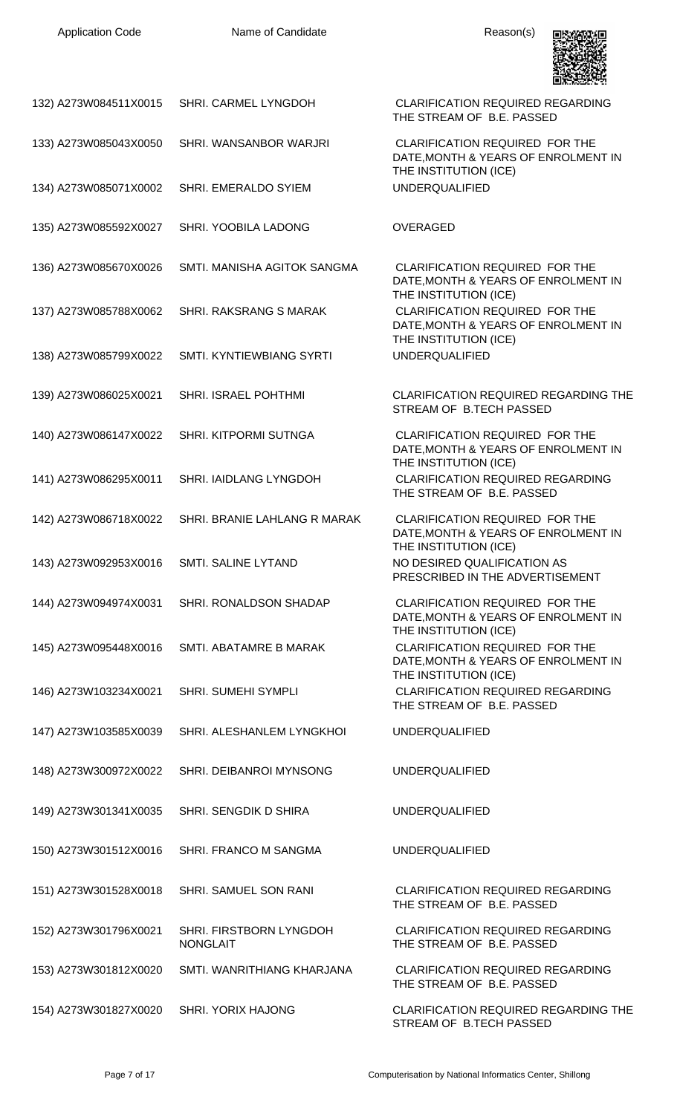

| 132) A273W084511X0015 | SHRI. CARMEL LYNGDOH                       | <b>CLARIFICATION REQUIRED REGARDING</b><br>THE STREAM OF B.E. PASSED                                                    |
|-----------------------|--------------------------------------------|-------------------------------------------------------------------------------------------------------------------------|
| 133) A273W085043X0050 | SHRI. WANSANBOR WARJRI                     | CLARIFICATION REQUIRED FOR THE<br>DATE, MONTH & YEARS OF ENROLMENT IN                                                   |
| 134) A273W085071X0002 | SHRI. EMERALDO SYIEM                       | THE INSTITUTION (ICE)<br><b>UNDERQUALIFIED</b>                                                                          |
| 135) A273W085592X0027 | SHRI. YOOBILA LADONG                       | <b>OVERAGED</b>                                                                                                         |
| 136) A273W085670X0026 | SMTI. MANISHA AGITOK SANGMA                | <b>CLARIFICATION REQUIRED FOR THE</b><br>DATE, MONTH & YEARS OF ENROLMENT IN                                            |
| 137) A273W085788X0062 | SHRI. RAKSRANG S MARAK                     | THE INSTITUTION (ICE)<br>CLARIFICATION REQUIRED FOR THE<br>DATE, MONTH & YEARS OF ENROLMENT IN<br>THE INSTITUTION (ICE) |
| 138) A273W085799X0022 | SMTI. KYNTIEWBIANG SYRTI                   | <b>UNDERQUALIFIED</b>                                                                                                   |
| 139) A273W086025X0021 | <b>SHRI. ISRAEL POHTHMI</b>                | CLARIFICATION REQUIRED REGARDING THE<br>STREAM OF B.TECH PASSED                                                         |
| 140) A273W086147X0022 | SHRI. KITPORMI SUTNGA                      | CLARIFICATION REQUIRED FOR THE<br>DATE, MONTH & YEARS OF ENROLMENT IN                                                   |
| 141) A273W086295X0011 | SHRI. IAIDLANG LYNGDOH                     | THE INSTITUTION (ICE)<br><b>CLARIFICATION REQUIRED REGARDING</b><br>THE STREAM OF B.E. PASSED                           |
| 142) A273W086718X0022 | SHRI. BRANIE LAHLANG R MARAK               | CLARIFICATION REQUIRED FOR THE<br>DATE, MONTH & YEARS OF ENROLMENT IN                                                   |
| 143) A273W092953X0016 | SMTI. SALINE LYTAND                        | THE INSTITUTION (ICE)<br>NO DESIRED QUALIFICATION AS<br>PRESCRIBED IN THE ADVERTISEMENT                                 |
| 144) A273W094974X0031 | SHRI. RONALDSON SHADAP                     | <b>CLARIFICATION REQUIRED FOR THE</b><br>DATE, MONTH & YEARS OF ENROLMENT IN                                            |
| 145) A273W095448X0016 | SMTI. ABATAMRE B MARAK                     | THE INSTITUTION (ICE)<br>CLARIFICATION REQUIRED FOR THE<br>DATE, MONTH & YEARS OF ENROLMENT IN<br>THE INSTITUTION (ICE) |
| 146) A273W103234X0021 | SHRI. SUMEHI SYMPLI                        | <b>CLARIFICATION REQUIRED REGARDING</b><br>THE STREAM OF B.E. PASSED                                                    |
| 147) A273W103585X0039 | SHRI. ALESHANLEM LYNGKHOI                  | <b>UNDERQUALIFIED</b>                                                                                                   |
| 148) A273W300972X0022 | SHRI. DEIBANROI MYNSONG                    | <b>UNDERQUALIFIED</b>                                                                                                   |
| 149) A273W301341X0035 | SHRI. SENGDIK D SHIRA                      | <b>UNDERQUALIFIED</b>                                                                                                   |
| 150) A273W301512X0016 | SHRI. FRANCO M SANGMA                      | <b>UNDERQUALIFIED</b>                                                                                                   |
| 151) A273W301528X0018 | SHRI. SAMUEL SON RANI                      | <b>CLARIFICATION REQUIRED REGARDING</b><br>THE STREAM OF B.E. PASSED                                                    |
| 152) A273W301796X0021 | SHRI. FIRSTBORN LYNGDOH<br><b>NONGLAIT</b> | <b>CLARIFICATION REQUIRED REGARDING</b><br>THE STREAM OF B.E. PASSED                                                    |
| 153) A273W301812X0020 | SMTI. WANRITHIANG KHARJANA                 | <b>CLARIFICATION REQUIRED REGARDING</b><br>THE STREAM OF B.E. PASSED                                                    |
| 154) A273W301827X0020 | SHRI. YORIX HAJONG                         | CLARIFICATION REQUIRED REGARDING THE<br>STREAM OF B.TECH PASSED                                                         |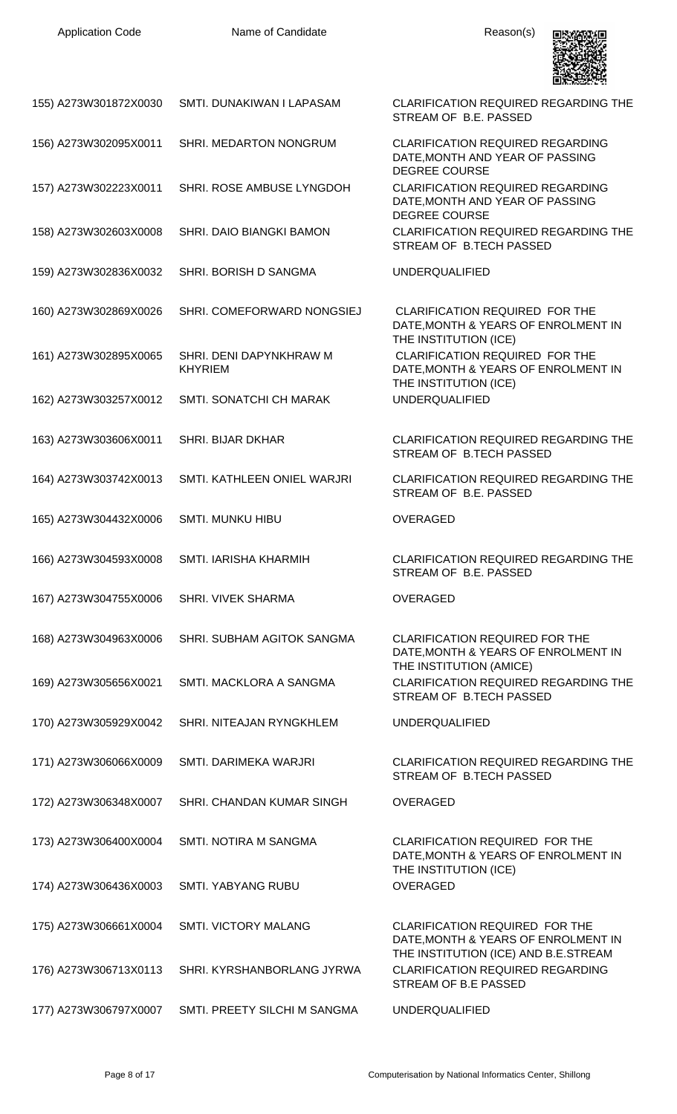

| 155) A273W301872X0030 | SMTI. DUNAKIWAN I LAPASAM                 | <b>CLARIFICATION REQUIRED REGARDING THE</b><br>STREAM OF B.E. PASSED                                                 |
|-----------------------|-------------------------------------------|----------------------------------------------------------------------------------------------------------------------|
| 156) A273W302095X0011 | SHRI. MEDARTON NONGRUM                    | <b>CLARIFICATION REQUIRED REGARDING</b><br>DATE, MONTH AND YEAR OF PASSING<br><b>DEGREE COURSE</b>                   |
| 157) A273W302223X0011 | SHRI. ROSE AMBUSE LYNGDOH                 | <b>CLARIFICATION REQUIRED REGARDING</b><br>DATE, MONTH AND YEAR OF PASSING<br><b>DEGREE COURSE</b>                   |
| 158) A273W302603X0008 | <b>SHRI. DAIO BIANGKI BAMON</b>           | <b>CLARIFICATION REQUIRED REGARDING THE</b><br>STREAM OF B.TECH PASSED                                               |
| 159) A273W302836X0032 | SHRI. BORISH D SANGMA                     | <b>UNDERQUALIFIED</b>                                                                                                |
| 160) A273W302869X0026 | SHRI. COMEFORWARD NONGSIEJ                | <b>CLARIFICATION REQUIRED FOR THE</b><br>DATE, MONTH & YEARS OF ENROLMENT IN<br>THE INSTITUTION (ICE)                |
| 161) A273W302895X0065 | SHRI. DENI DAPYNKHRAW M<br><b>KHYRIEM</b> | CLARIFICATION REQUIRED FOR THE<br>DATE, MONTH & YEARS OF ENROLMENT IN<br>THE INSTITUTION (ICE)                       |
| 162) A273W303257X0012 | SMTI. SONATCHI CH MARAK                   | <b>UNDERQUALIFIED</b>                                                                                                |
| 163) A273W303606X0011 | <b>SHRI. BIJAR DKHAR</b>                  | <b>CLARIFICATION REQUIRED REGARDING THE</b><br>STREAM OF B.TECH PASSED                                               |
| 164) A273W303742X0013 | SMTI. KATHLEEN ONIEL WARJRI               | <b>CLARIFICATION REQUIRED REGARDING THE</b><br>STREAM OF B.E. PASSED                                                 |
| 165) A273W304432X0006 | <b>SMTI. MUNKU HIBU</b>                   | <b>OVERAGED</b>                                                                                                      |
| 166) A273W304593X0008 | <b>SMTI. IARISHA KHARMIH</b>              | <b>CLARIFICATION REQUIRED REGARDING THE</b><br>STREAM OF B.E. PASSED                                                 |
| 167) A273W304755X0006 | <b>SHRI. VIVEK SHARMA</b>                 | <b>OVERAGED</b>                                                                                                      |
| 168) A273W304963X0006 | SHRI. SUBHAM AGITOK SANGMA                | <b>CLARIFICATION REQUIRED FOR THE</b><br>DATE, MONTH & YEARS OF ENROLMENT IN<br>THE INSTITUTION (AMICE)              |
| 169) A273W305656X0021 | SMTI. MACKLORA A SANGMA                   | <b>CLARIFICATION REQUIRED REGARDING THE</b><br>STREAM OF B.TECH PASSED                                               |
| 170) A273W305929X0042 | SHRI. NITEAJAN RYNGKHLEM                  | <b>UNDERQUALIFIED</b>                                                                                                |
| 171) A273W306066X0009 | SMTI. DARIMEKA WARJRI                     | <b>CLARIFICATION REQUIRED REGARDING THE</b><br>STREAM OF B.TECH PASSED                                               |
| 172) A273W306348X0007 | SHRI. CHANDAN KUMAR SINGH                 | <b>OVERAGED</b>                                                                                                      |
| 173) A273W306400X0004 | SMTI. NOTIRA M SANGMA                     | <b>CLARIFICATION REQUIRED FOR THE</b><br>DATE, MONTH & YEARS OF ENROLMENT IN<br>THE INSTITUTION (ICE)                |
| 174) A273W306436X0003 | <b>SMTI. YABYANG RUBU</b>                 | <b>OVERAGED</b>                                                                                                      |
| 175) A273W306661X0004 | <b>SMTI. VICTORY MALANG</b>               | <b>CLARIFICATION REQUIRED FOR THE</b><br>DATE, MONTH & YEARS OF ENROLMENT IN<br>THE INSTITUTION (ICE) AND B.E.STREAM |
| 176) A273W306713X0113 | SHRI, KYRSHANBORLANG JYRWA                | <b>CLARIFICATION REQUIRED REGARDING</b><br>STREAM OF B.E PASSED                                                      |
| 177) A273W306797X0007 | SMTI. PREETY SILCHI M SANGMA              | <b>UNDERQUALIFIED</b>                                                                                                |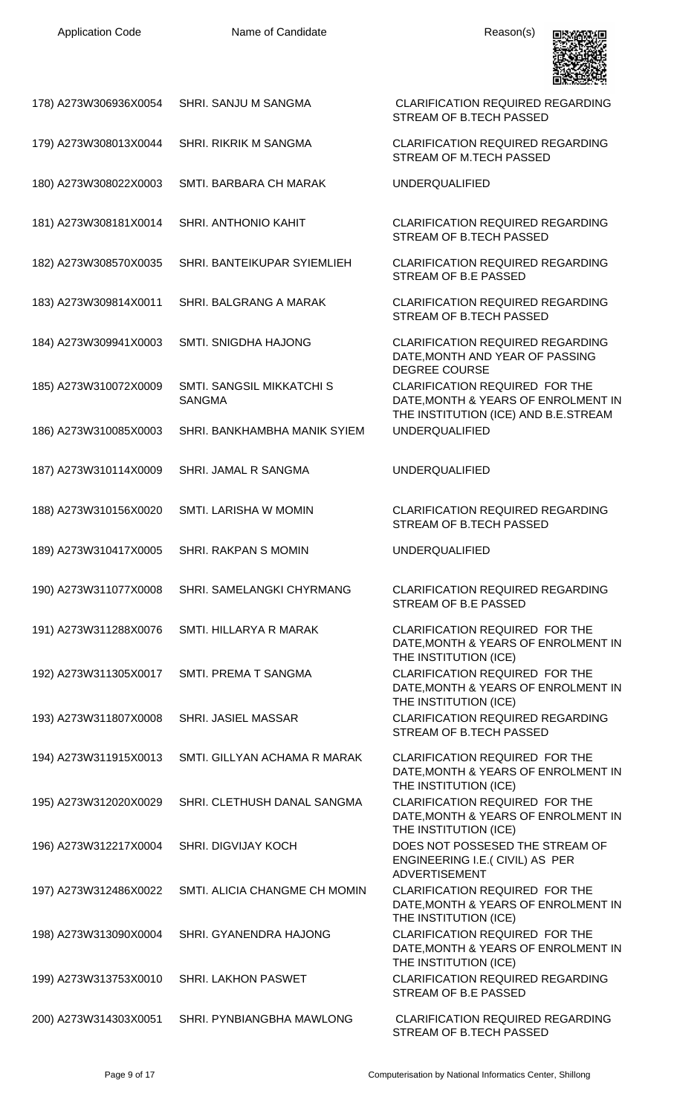

| 178) A273W306936X0054 | SHRI. SANJU M SANGMA                            | <b>CLARIFICATION REQUIRED REGARDING</b><br>STREAM OF B.TECH PASSED                                   |
|-----------------------|-------------------------------------------------|------------------------------------------------------------------------------------------------------|
| 179) A273W308013X0044 | SHRI. RIKRIK M SANGMA                           | <b>CLARIFICATION REQUIRED REGARDING</b><br>STREAM OF M.TECH PASSED                                   |
| 180) A273W308022X0003 | SMTI. BARBARA CH MARAK                          | <b>UNDERQUALIFIED</b>                                                                                |
| 181) A273W308181X0014 | SHRI. ANTHONIO KAHIT                            | <b>CLARIFICATION REQUIRED REGARDING</b><br>STREAM OF B.TECH PASSED                                   |
| 182) A273W308570X0035 | SHRI. BANTEIKUPAR SYIEMLIEH                     | <b>CLARIFICATION REQUIRED REGARDING</b><br>STREAM OF B.E PASSED                                      |
| 183) A273W309814X0011 | SHRI. BALGRANG A MARAK                          | <b>CLARIFICATION REQUIRED REGARDING</b><br>STREAM OF B.TECH PASSED                                   |
| 184) A273W309941X0003 | <b>SMTI. SNIGDHA HAJONG</b>                     | <b>CLARIFICATION REQUIRED REGARDING</b><br>DATE, MONTH AND YEAR OF PASSING<br><b>DEGREE COURSE</b>   |
| 185) A273W310072X0009 | SMTI. SANGSIL MIKKATCHI S<br><b>SANGMA</b>      | CLARIFICATION REQUIRED FOR THE<br>DATE, MONTH & YEARS OF ENROLMENT IN                                |
| 186) A273W310085X0003 | SHRI. BANKHAMBHA MANIK SYIEM                    | THE INSTITUTION (ICE) AND B.E.STREAM<br><b>UNDERQUALIFIED</b>                                        |
| 187) A273W310114X0009 | SHRI. JAMAL R SANGMA                            | <b>UNDERQUALIFIED</b>                                                                                |
| 188) A273W310156X0020 | SMTI. LARISHA W MOMIN                           | <b>CLARIFICATION REQUIRED REGARDING</b><br>STREAM OF B.TECH PASSED                                   |
| 189) A273W310417X0005 | SHRI. RAKPAN S MOMIN                            | <b>UNDERQUALIFIED</b>                                                                                |
|                       | 190) A273W311077X0008 SHRI. SAMELANGKI CHYRMANG | <b>CLARIFICATION REQUIRED REGARDING</b><br>STREAM OF B.E PASSED                                      |
| 191) A273W311288X0076 | SMTI. HILLARYA R MARAK                          | CLARIFICATION REQUIRED FOR THE<br>DATE, MONTH & YEARS OF ENROLMENT IN<br>THE INSTITUTION (ICE)       |
| 192) A273W311305X0017 | SMTI. PREMA T SANGMA                            | CLARIFICATION REQUIRED FOR THE<br>DATE, MONTH & YEARS OF ENROLMENT IN<br>THE INSTITUTION (ICE)       |
| 193) A273W311807X0008 |                                                 |                                                                                                      |
|                       | SHRI. JASIEL MASSAR                             | <b>CLARIFICATION REQUIRED REGARDING</b><br>STREAM OF B.TECH PASSED                                   |
| 194) A273W311915X0013 | SMTI. GILLYAN ACHAMA R MARAK                    | <b>CLARIFICATION REQUIRED FOR THE</b><br>DATE, MONTH & YEARS OF ENROLMENT IN                         |
| 195) A273W312020X0029 | SHRI. CLETHUSH DANAL SANGMA                     | THE INSTITUTION (ICE)<br>CLARIFICATION REQUIRED FOR THE<br>DATE, MONTH & YEARS OF ENROLMENT IN       |
| 196) A273W312217X0004 | <b>SHRI. DIGVIJAY KOCH</b>                      | THE INSTITUTION (ICE)<br>DOES NOT POSSESED THE STREAM OF<br>ENGINEERING I.E. (CIVIL) AS PER          |
| 197) A273W312486X0022 | SMTI. ALICIA CHANGME CH MOMIN                   | <b>ADVERTISEMENT</b><br><b>CLARIFICATION REQUIRED FOR THE</b><br>DATE, MONTH & YEARS OF ENROLMENT IN |
| 198) A273W313090X0004 | SHRI. GYANENDRA HAJONG                          | THE INSTITUTION (ICE)<br>CLARIFICATION REQUIRED FOR THE<br>DATE, MONTH & YEARS OF ENROLMENT IN       |
| 199) A273W313753X0010 | SHRI. LAKHON PASWET                             | THE INSTITUTION (ICE)<br><b>CLARIFICATION REQUIRED REGARDING</b><br>STREAM OF B.E PASSED             |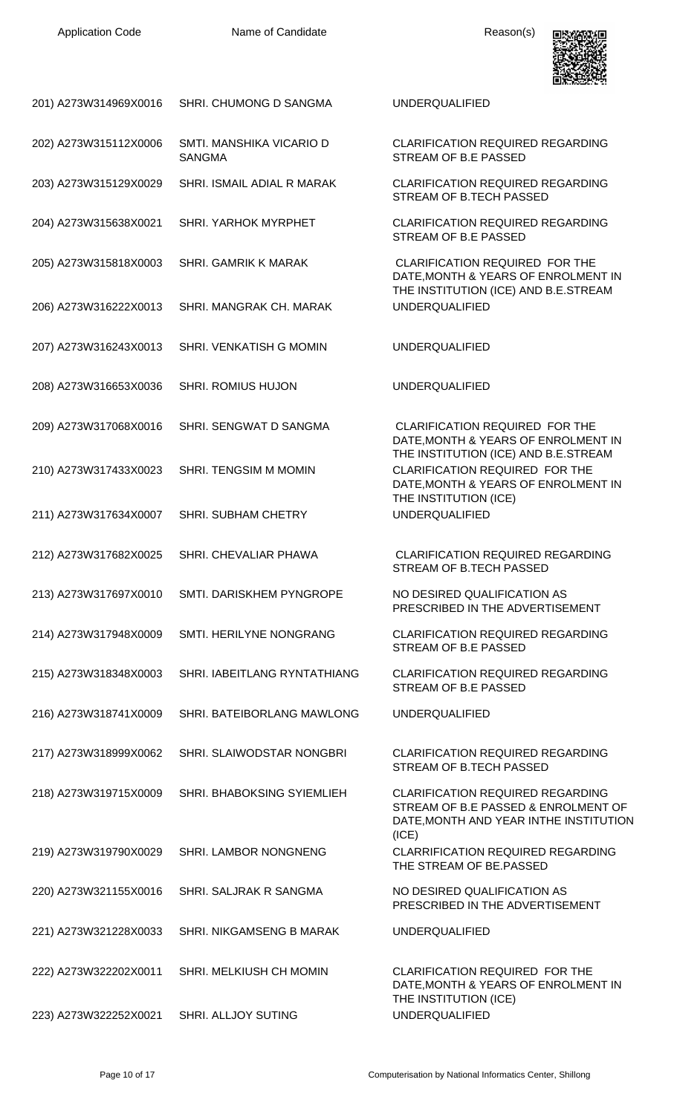

| 201) A273W314969X0016 | SHRI. CHUMONG D SANGMA                    | <b>UNDERQUALIFIED</b>                                                                                                                  |
|-----------------------|-------------------------------------------|----------------------------------------------------------------------------------------------------------------------------------------|
| 202) A273W315112X0006 | SMTI. MANSHIKA VICARIO D<br><b>SANGMA</b> | <b>CLARIFICATION REQUIRED REGARDING</b><br>STREAM OF B.E PASSED                                                                        |
| 203) A273W315129X0029 | SHRI. ISMAIL ADIAL R MARAK                | <b>CLARIFICATION REQUIRED REGARDING</b><br>STREAM OF B.TECH PASSED                                                                     |
| 204) A273W315638X0021 | SHRI. YARHOK MYRPHET                      | <b>CLARIFICATION REQUIRED REGARDING</b><br>STREAM OF B.E PASSED                                                                        |
| 205) A273W315818X0003 | SHRI. GAMRIK K MARAK                      | <b>CLARIFICATION REQUIRED FOR THE</b><br>DATE, MONTH & YEARS OF ENROLMENT IN                                                           |
| 206) A273W316222X0013 | SHRI. MANGRAK CH. MARAK                   | THE INSTITUTION (ICE) AND B.E.STREAM<br><b>UNDERQUALIFIED</b>                                                                          |
| 207) A273W316243X0013 | SHRI. VENKATISH G MOMIN                   | <b>UNDERQUALIFIED</b>                                                                                                                  |
| 208) A273W316653X0036 | <b>SHRI. ROMIUS HUJON</b>                 | <b>UNDERQUALIFIED</b>                                                                                                                  |
| 209) A273W317068X0016 | SHRI. SENGWAT D SANGMA                    | <b>CLARIFICATION REQUIRED FOR THE</b><br>DATE, MONTH & YEARS OF ENROLMENT IN                                                           |
| 210) A273W317433X0023 | SHRI. TENGSIM M MOMIN                     | THE INSTITUTION (ICE) AND B.E.STREAM<br>CLARIFICATION REQUIRED FOR THE<br>DATE, MONTH & YEARS OF ENROLMENT IN<br>THE INSTITUTION (ICE) |
| 211) A273W317634X0007 | SHRI. SUBHAM CHETRY                       | <b>UNDERQUALIFIED</b>                                                                                                                  |
| 212) A273W317682X0025 | SHRI. CHEVALIAR PHAWA                     | <b>CLARIFICATION REQUIRED REGARDING</b><br>STREAM OF B.TECH PASSED                                                                     |
| 213) A273W317697X0010 | SMTI. DARISKHEM PYNGROPE                  | NO DESIRED QUALIFICATION AS<br>PRESCRIBED IN THE ADVERTISEMENT                                                                         |
| 214) A273W317948X0009 | SMTI. HERILYNE NONGRANG                   | <b>CLARIFICATION REQUIRED REGARDING</b><br>STREAM OF B.E PASSED                                                                        |
| 215) A273W318348X0003 | SHRI. IABEITLANG RYNTATHIANG              | <b>CLARIFICATION REQUIRED REGARDING</b><br>STREAM OF B.E PASSED                                                                        |
| 216) A273W318741X0009 | SHRI. BATEIBORLANG MAWLONG                | <b>UNDERQUALIFIED</b>                                                                                                                  |
| 217) A273W318999X0062 | SHRI. SLAIWODSTAR NONGBRI                 | <b>CLARIFICATION REQUIRED REGARDING</b><br>STREAM OF B.TECH PASSED                                                                     |
| 218) A273W319715X0009 | SHRI. BHABOKSING SYIEMLIEH                | <b>CLARIFICATION REQUIRED REGARDING</b><br>STREAM OF B.E PASSED & ENROLMENT OF<br>DATE, MONTH AND YEAR INTHE INSTITUTION               |
| 219) A273W319790X0029 | SHRI. LAMBOR NONGNENG                     | (ICE)<br><b>CLARRIFICATION REQUIRED REGARDING</b><br>THE STREAM OF BE.PASSED                                                           |
| 220) A273W321155X0016 | SHRI. SALJRAK R SANGMA                    | NO DESIRED QUALIFICATION AS<br>PRESCRIBED IN THE ADVERTISEMENT                                                                         |
| 221) A273W321228X0033 | SHRI. NIKGAMSENG B MARAK                  | <b>UNDERQUALIFIED</b>                                                                                                                  |
| 222) A273W322202X0011 | SHRI. MELKIUSH CH MOMIN                   | <b>CLARIFICATION REQUIRED FOR THE</b><br>DATE, MONTH & YEARS OF ENROLMENT IN<br>THE INSTITUTION (ICE)                                  |
| 223) A273W322252X0021 | SHRI. ALLJOY SUTING                       | <b>UNDERQUALIFIED</b>                                                                                                                  |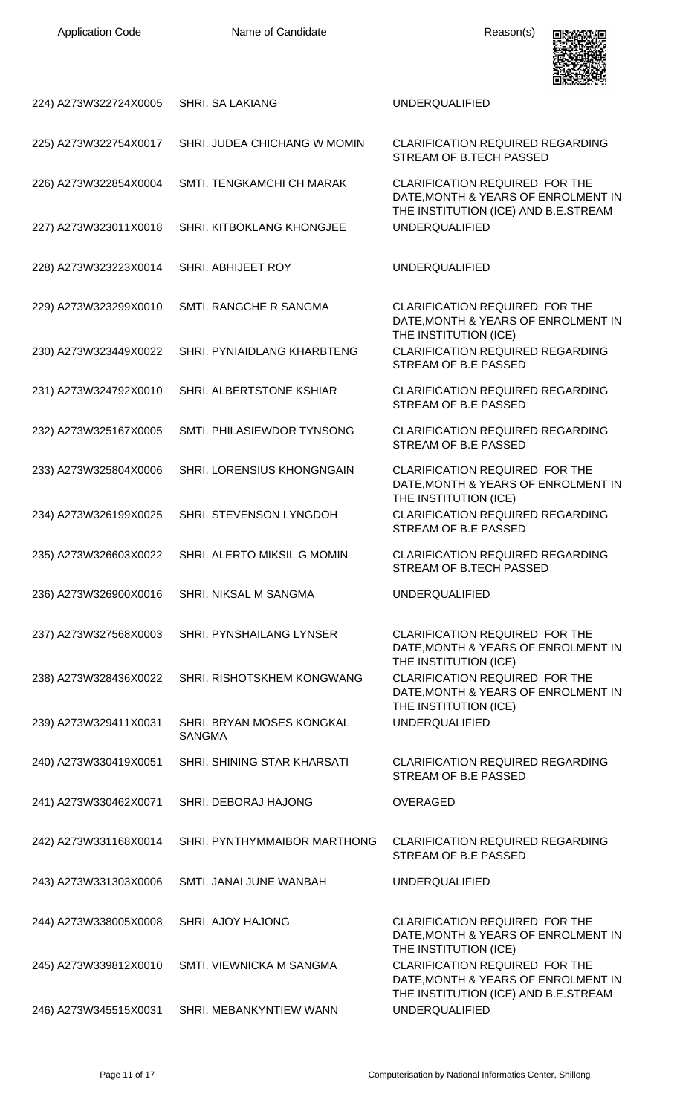

| 224) A273W322724X0005 | SHRI. SA LAKIANG                           | <b>UNDERQUALIFIED</b>                                                                                                          |
|-----------------------|--------------------------------------------|--------------------------------------------------------------------------------------------------------------------------------|
| 225) A273W322754X0017 | SHRI. JUDEA CHICHANG W MOMIN               | <b>CLARIFICATION REQUIRED REGARDING</b><br>STREAM OF B.TECH PASSED                                                             |
| 226) A273W322854X0004 | SMTI. TENGKAMCHI CH MARAK                  | CLARIFICATION REQUIRED FOR THE<br>DATE, MONTH & YEARS OF ENROLMENT IN                                                          |
| 227) A273W323011X0018 | SHRI. KITBOKLANG KHONGJEE                  | THE INSTITUTION (ICE) AND B.E.STREAM<br><b>UNDERQUALIFIED</b>                                                                  |
| 228) A273W323223X0014 | SHRI. ABHIJEET ROY                         | <b>UNDERQUALIFIED</b>                                                                                                          |
| 229) A273W323299X0010 | SMTI. RANGCHE R SANGMA                     | <b>CLARIFICATION REQUIRED FOR THE</b><br>DATE, MONTH & YEARS OF ENROLMENT IN                                                   |
| 230) A273W323449X0022 | SHRI. PYNIAIDLANG KHARBTENG                | THE INSTITUTION (ICE)<br><b>CLARIFICATION REQUIRED REGARDING</b><br>STREAM OF B.E PASSED                                       |
| 231) A273W324792X0010 | SHRI. ALBERTSTONE KSHIAR                   | <b>CLARIFICATION REQUIRED REGARDING</b><br>STREAM OF B.E PASSED                                                                |
| 232) A273W325167X0005 | SMTI. PHILASIEWDOR TYNSONG                 | <b>CLARIFICATION REQUIRED REGARDING</b><br>STREAM OF B.E PASSED                                                                |
| 233) A273W325804X0006 | SHRI. LORENSIUS KHONGNGAIN                 | CLARIFICATION REQUIRED FOR THE<br>DATE, MONTH & YEARS OF ENROLMENT IN<br>THE INSTITUTION (ICE)                                 |
| 234) A273W326199X0025 | SHRI. STEVENSON LYNGDOH                    | <b>CLARIFICATION REQUIRED REGARDING</b><br>STREAM OF B.E PASSED                                                                |
| 235) A273W326603X0022 | SHRI. ALERTO MIKSIL G MOMIN                | <b>CLARIFICATION REQUIRED REGARDING</b><br><b>STREAM OF B.TECH PASSED</b>                                                      |
| 236) A273W326900X0016 | <b>SHRI. NIKSAL M SANGMA</b>               | <b>UNDERQUALIFIED</b>                                                                                                          |
| 237) A273W327568X0003 | <b>SHRI. PYNSHAILANG LYNSER</b>            | <b>CLARIFICATION REQUIRED FOR THE</b><br>DATE, MONTH & YEARS OF ENROLMENT IN                                                   |
| 238) A273W328436X0022 | SHRI. RISHOTSKHEM KONGWANG                 | THE INSTITUTION (ICE)<br><b>CLARIFICATION REQUIRED FOR THE</b><br>DATE, MONTH & YEARS OF ENROLMENT IN<br>THE INSTITUTION (ICE) |
| 239) A273W329411X0031 | SHRI. BRYAN MOSES KONGKAL<br><b>SANGMA</b> | <b>UNDERQUALIFIED</b>                                                                                                          |
| 240) A273W330419X0051 | SHRI. SHINING STAR KHARSATI                | <b>CLARIFICATION REQUIRED REGARDING</b><br>STREAM OF B.E PASSED                                                                |
| 241) A273W330462X0071 | SHRI. DEBORAJ HAJONG                       | <b>OVERAGED</b>                                                                                                                |
| 242) A273W331168X0014 | SHRI. PYNTHYMMAIBOR MARTHONG               | <b>CLARIFICATION REQUIRED REGARDING</b><br>STREAM OF B.E PASSED                                                                |
| 243) A273W331303X0006 | SMTI. JANAI JUNE WANBAH                    | <b>UNDERQUALIFIED</b>                                                                                                          |
| 244) A273W338005X0008 | SHRI. AJOY HAJONG                          | <b>CLARIFICATION REQUIRED FOR THE</b><br>DATE, MONTH & YEARS OF ENROLMENT IN<br>THE INSTITUTION (ICE)                          |
| 245) A273W339812X0010 | SMTI. VIEWNICKA M SANGMA                   | <b>CLARIFICATION REQUIRED FOR THE</b><br>DATE, MONTH & YEARS OF ENROLMENT IN<br>THE INSTITUTION (ICE) AND B.E.STREAM           |
| 246) A273W345515X0031 | SHRI. MEBANKYNTIEW WANN                    | <b>UNDERQUALIFIED</b>                                                                                                          |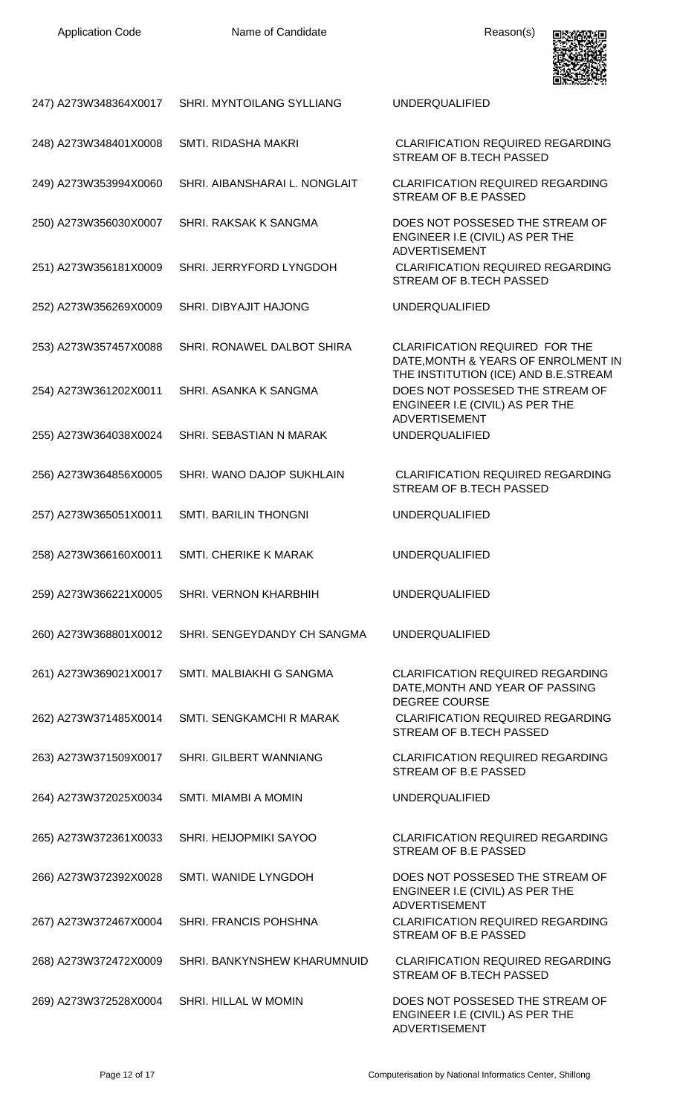

| 247) A273W348364X0017 | SHRI. MYNTOILANG SYLLIANG                   | <b>UNDERQUALIFIED</b>                                                                                      |
|-----------------------|---------------------------------------------|------------------------------------------------------------------------------------------------------------|
| 248) A273W348401X0008 | SMTI. RIDASHA MAKRI                         | <b>CLARIFICATION REQUIRED REGARDING</b><br>STREAM OF B.TECH PASSED                                         |
| 249) A273W353994X0060 | SHRI. AIBANSHARAI L. NONGLAIT               | <b>CLARIFICATION REQUIRED REGARDING</b><br>STREAM OF B.E PASSED                                            |
| 250) A273W356030X0007 | SHRI. RAKSAK K SANGMA                       | DOES NOT POSSESED THE STREAM OF<br>ENGINEER I.E (CIVIL) AS PER THE<br><b>ADVERTISEMENT</b>                 |
| 251) A273W356181X0009 | SHRI. JERRYFORD LYNGDOH                     | <b>CLARIFICATION REQUIRED REGARDING</b><br>STREAM OF B.TECH PASSED                                         |
| 252) A273W356269X0009 | SHRI. DIBYAJIT HAJONG                       | <b>UNDERQUALIFIED</b>                                                                                      |
| 253) A273W357457X0088 | SHRI. RONAWEL DALBOT SHIRA                  | <b>CLARIFICATION REQUIRED FOR THE</b><br>DATE, MONTH & YEARS OF ENROLMENT IN                               |
| 254) A273W361202X0011 | SHRI. ASANKA K SANGMA                       | THE INSTITUTION (ICE) AND B.E.STREAM<br>DOES NOT POSSESED THE STREAM OF<br>ENGINEER I.E (CIVIL) AS PER THE |
| 255) A273W364038X0024 | SHRI. SEBASTIAN N MARAK                     | <b>ADVERTISEMENT</b><br><b>UNDERQUALIFIED</b>                                                              |
| 256) A273W364856X0005 | SHRI. WANO DAJOP SUKHLAIN                   | <b>CLARIFICATION REQUIRED REGARDING</b><br>STREAM OF B.TECH PASSED                                         |
| 257) A273W365051X0011 | SMTI. BARILIN THONGNI                       | <b>UNDERQUALIFIED</b>                                                                                      |
| 258) A273W366160X0011 | SMTI. CHERIKE K MARAK                       | <b>UNDERQUALIFIED</b>                                                                                      |
|                       | 259) A273W366221X0005 SHRI. VERNON KHARBHIH | <b>UNDERQUALIFIED</b>                                                                                      |
| 260) A273W368801X0012 | SHRI. SENGEYDANDY CH SANGMA                 | <b>UNDERQUALIFIED</b>                                                                                      |
| 261) A273W369021X0017 | SMTI. MALBIAKHI G SANGMA                    | <b>CLARIFICATION REQUIRED REGARDING</b><br>DATE, MONTH AND YEAR OF PASSING<br><b>DEGREE COURSE</b>         |
| 262) A273W371485X0014 | SMTI. SENGKAMCHI R MARAK                    | <b>CLARIFICATION REQUIRED REGARDING</b><br>STREAM OF B.TECH PASSED                                         |
| 263) A273W371509X0017 | SHRI. GILBERT WANNIANG                      | <b>CLARIFICATION REQUIRED REGARDING</b><br>STREAM OF B.E PASSED                                            |
| 264) A273W372025X0034 | SMTI. MIAMBI A MOMIN                        | <b>UNDERQUALIFIED</b>                                                                                      |
| 265) A273W372361X0033 | SHRI. HEIJOPMIKI SAYOO                      | CLARIFICATION REQUIRED REGARDING<br>STREAM OF B.E PASSED                                                   |
| 266) A273W372392X0028 | SMTI. WANIDE LYNGDOH                        | DOES NOT POSSESED THE STREAM OF<br>ENGINEER I.E (CIVIL) AS PER THE<br><b>ADVERTISEMENT</b>                 |
| 267) A273W372467X0004 | SHRI. FRANCIS POHSHNA                       | <b>CLARIFICATION REQUIRED REGARDING</b><br>STREAM OF B.E PASSED                                            |
| 268) A273W372472X0009 | SHRI. BANKYNSHEW KHARUMNUID                 | <b>CLARIFICATION REQUIRED REGARDING</b><br>STREAM OF B.TECH PASSED                                         |
| 269) A273W372528X0004 | SHRI. HILLAL W MOMIN                        | DOES NOT POSSESED THE STREAM OF<br>ENGINEER I.E (CIVIL) AS PER THE<br><b>ADVERTISEMENT</b>                 |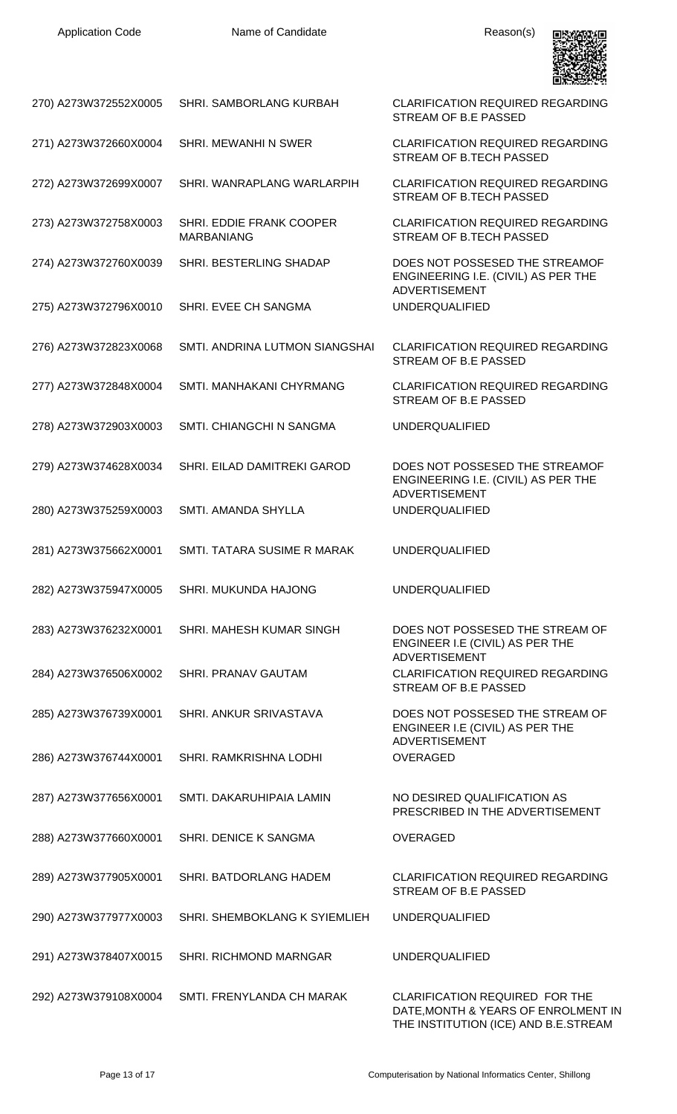

| 270) A273W372552X0005 | SHRI. SAMBORLANG KURBAH                       | <b>CLARIFICATION REQUIRED REGARDING</b><br>STREAM OF B.E PASSED                               |
|-----------------------|-----------------------------------------------|-----------------------------------------------------------------------------------------------|
| 271) A273W372660X0004 | SHRI. MEWANHI N SWER                          | <b>CLARIFICATION REQUIRED REGARDING</b><br>STREAM OF B.TECH PASSED                            |
| 272) A273W372699X0007 | SHRI. WANRAPLANG WARLARPIH                    | <b>CLARIFICATION REQUIRED REGARDING</b><br>STREAM OF B.TECH PASSED                            |
| 273) A273W372758X0003 | SHRI. EDDIE FRANK COOPER<br><b>MARBANIANG</b> | <b>CLARIFICATION REQUIRED REGARDING</b><br>STREAM OF B.TECH PASSED                            |
| 274) A273W372760X0039 | SHRI. BESTERLING SHADAP                       | DOES NOT POSSESED THE STREAMOF<br>ENGINEERING I.E. (CIVIL) AS PER THE                         |
| 275) A273W372796X0010 | SHRI. EVEE CH SANGMA                          | <b>ADVERTISEMENT</b><br><b>UNDERQUALIFIED</b>                                                 |
| 276) A273W372823X0068 | SMTI. ANDRINA LUTMON SIANGSHAI                | <b>CLARIFICATION REQUIRED REGARDING</b><br>STREAM OF B.E PASSED                               |
| 277) A273W372848X0004 | SMTI. MANHAKANI CHYRMANG                      | <b>CLARIFICATION REQUIRED REGARDING</b><br>STREAM OF B.E PASSED                               |
| 278) A273W372903X0003 | SMTI. CHIANGCHI N SANGMA                      | <b>UNDERQUALIFIED</b>                                                                         |
| 279) A273W374628X0034 | SHRI. EILAD DAMITREKI GAROD                   | DOES NOT POSSESED THE STREAMOF<br>ENGINEERING I.E. (CIVIL) AS PER THE<br><b>ADVERTISEMENT</b> |
| 280) A273W375259X0003 | SMTI. AMANDA SHYLLA                           | <b>UNDERQUALIFIED</b>                                                                         |
| 281) A273W375662X0001 | SMTI. TATARA SUSIME R MARAK                   | <b>UNDERQUALIFIED</b>                                                                         |
|                       | 282) A273W375947X0005 SHRI. MUKUNDA HAJONG    | <b>UNDERQUALIFIED</b>                                                                         |
| 283) A273W376232X0001 | SHRI. MAHESH KUMAR SINGH                      | DOES NOT POSSESED THE STREAM OF<br>ENGINEER I.E (CIVIL) AS PER THE<br><b>ADVERTISEMENT</b>    |
| 284) A273W376506X0002 | SHRI. PRANAV GAUTAM                           | <b>CLARIFICATION REQUIRED REGARDING</b><br>STREAM OF B.E PASSED                               |
| 285) A273W376739X0001 | SHRI. ANKUR SRIVASTAVA                        | DOES NOT POSSESED THE STREAM OF<br>ENGINEER I.E (CIVIL) AS PER THE<br><b>ADVERTISEMENT</b>    |
| 286) A273W376744X0001 | SHRI. RAMKRISHNA LODHI                        | <b>OVERAGED</b>                                                                               |
| 287) A273W377656X0001 | SMTI. DAKARUHIPAIA LAMIN                      | NO DESIRED QUALIFICATION AS<br>PRESCRIBED IN THE ADVERTISEMENT                                |
| 288) A273W377660X0001 | SHRI. DENICE K SANGMA                         | <b>OVERAGED</b>                                                                               |
| 289) A273W377905X0001 | SHRI. BATDORLANG HADEM                        | <b>CLARIFICATION REQUIRED REGARDING</b><br>STREAM OF B.E PASSED                               |
| 290) A273W377977X0003 | SHRI. SHEMBOKLANG K SYIEMLIEH                 | <b>UNDERQUALIFIED</b>                                                                         |
| 291) A273W378407X0015 | SHRI. RICHMOND MARNGAR                        | <b>UNDERQUALIFIED</b>                                                                         |
| 292) A273W379108X0004 | SMTI. FRENYLANDA CH MARAK                     | <b>CLARIFICATION REQUIRED FOR THE</b><br>DATE, MONTH & YEARS OF ENROLMENT IN                  |

THE INSTITUTION (ICE) AND B.E.STREAM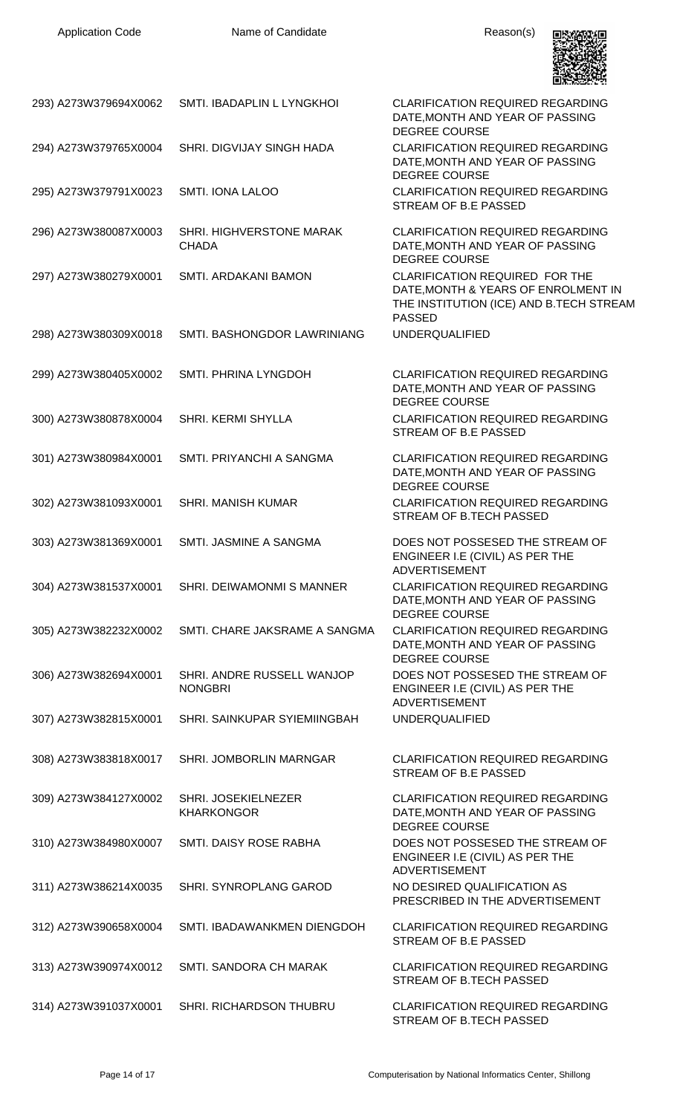| 293) A273W379694X0062 | SMTI. IBADAPLIN L LYNGKHOI                   | <b>CLARIFICATION REQUIRED REGARDING</b><br>DATE, MONTH AND YEAR OF PASSING<br><b>DEGREE COURSE</b>                                       |
|-----------------------|----------------------------------------------|------------------------------------------------------------------------------------------------------------------------------------------|
| 294) A273W379765X0004 | SHRI. DIGVIJAY SINGH HADA                    | <b>CLARIFICATION REQUIRED REGARDING</b><br>DATE, MONTH AND YEAR OF PASSING<br><b>DEGREE COURSE</b>                                       |
| 295) A273W379791X0023 | <b>SMTI. IONA LALOO</b>                      | <b>CLARIFICATION REQUIRED REGARDING</b><br>STREAM OF B.E PASSED                                                                          |
| 296) A273W380087X0003 | SHRI. HIGHVERSTONE MARAK<br><b>CHADA</b>     | <b>CLARIFICATION REQUIRED REGARDING</b><br>DATE, MONTH AND YEAR OF PASSING<br><b>DEGREE COURSE</b>                                       |
| 297) A273W380279X0001 | SMTI. ARDAKANI BAMON                         | <b>CLARIFICATION REQUIRED FOR THE</b><br>DATE, MONTH & YEARS OF ENROLMENT IN<br>THE INSTITUTION (ICE) AND B.TECH STREAM<br><b>PASSED</b> |
| 298) A273W380309X0018 | SMTI. BASHONGDOR LAWRINIANG                  | <b>UNDERQUALIFIED</b>                                                                                                                    |
| 299) A273W380405X0002 | SMTI. PHRINA LYNGDOH                         | <b>CLARIFICATION REQUIRED REGARDING</b><br>DATE, MONTH AND YEAR OF PASSING<br><b>DEGREE COURSE</b>                                       |
| 300) A273W380878X0004 | SHRI. KERMI SHYLLA                           | <b>CLARIFICATION REQUIRED REGARDING</b><br>STREAM OF B.E PASSED                                                                          |
| 301) A273W380984X0001 | SMTI. PRIYANCHI A SANGMA                     | <b>CLARIFICATION REQUIRED REGARDING</b><br>DATE, MONTH AND YEAR OF PASSING<br><b>DEGREE COURSE</b>                                       |
| 302) A273W381093X0001 | SHRI. MANISH KUMAR                           | <b>CLARIFICATION REQUIRED REGARDING</b><br>STREAM OF B.TECH PASSED                                                                       |
|                       | 303) A273W381369X0001 SMTI. JASMINE A SANGMA | DOES NOT POSSESED THE STREAM OF<br>ENGINEER I.E (CIVIL) AS PER THE<br><b>ADVERTISEMENT</b>                                               |
| 304) A273W381537X0001 | SHRI. DEIWAMONMI S MANNER                    | <b>CLARIFICATION REQUIRED REGARDING</b><br>DATE, MONTH AND YEAR OF PASSING<br><b>DEGREE COURSE</b>                                       |
| 305) A273W382232X0002 | SMTI. CHARE JAKSRAME A SANGMA                | <b>CLARIFICATION REQUIRED REGARDING</b><br>DATE, MONTH AND YEAR OF PASSING<br><b>DEGREE COURSE</b>                                       |
| 306) A273W382694X0001 | SHRI. ANDRE RUSSELL WANJOP<br><b>NONGBRI</b> | DOES NOT POSSESED THE STREAM OF<br>ENGINEER I.E (CIVIL) AS PER THE<br><b>ADVERTISEMENT</b>                                               |
| 307) A273W382815X0001 | SHRI. SAINKUPAR SYIEMIINGBAH                 | <b>UNDERQUALIFIED</b>                                                                                                                    |
| 308) A273W383818X0017 | SHRI. JOMBORLIN MARNGAR                      | <b>CLARIFICATION REQUIRED REGARDING</b><br>STREAM OF B.E PASSED                                                                          |
| 309) A273W384127X0002 | SHRI. JOSEKIELNEZER<br><b>KHARKONGOR</b>     | <b>CLARIFICATION REQUIRED REGARDING</b><br>DATE, MONTH AND YEAR OF PASSING<br>DEGREE COURSE                                              |
| 310) A273W384980X0007 | SMTI. DAISY ROSE RABHA                       | DOES NOT POSSESED THE STREAM OF<br>ENGINEER I.E (CIVIL) AS PER THE<br><b>ADVERTISEMENT</b>                                               |
| 311) A273W386214X0035 | SHRI. SYNROPLANG GAROD                       | NO DESIRED QUALIFICATION AS<br>PRESCRIBED IN THE ADVERTISEMENT                                                                           |
| 312) A273W390658X0004 | SMTI. IBADAWANKMEN DIENGDOH                  | <b>CLARIFICATION REQUIRED REGARDING</b><br>STREAM OF B.E PASSED                                                                          |
| 313) A273W390974X0012 | SMTI. SANDORA CH MARAK                       | <b>CLARIFICATION REQUIRED REGARDING</b><br>STREAM OF B.TECH PASSED                                                                       |
| 314) A273W391037X0001 | SHRI. RICHARDSON THUBRU                      | <b>CLARIFICATION REQUIRED REGARDING</b><br>STREAM OF B.TECH PASSED                                                                       |

Application Code **Name of Candidate Name of Candidate** Reason(s)

**男性数便**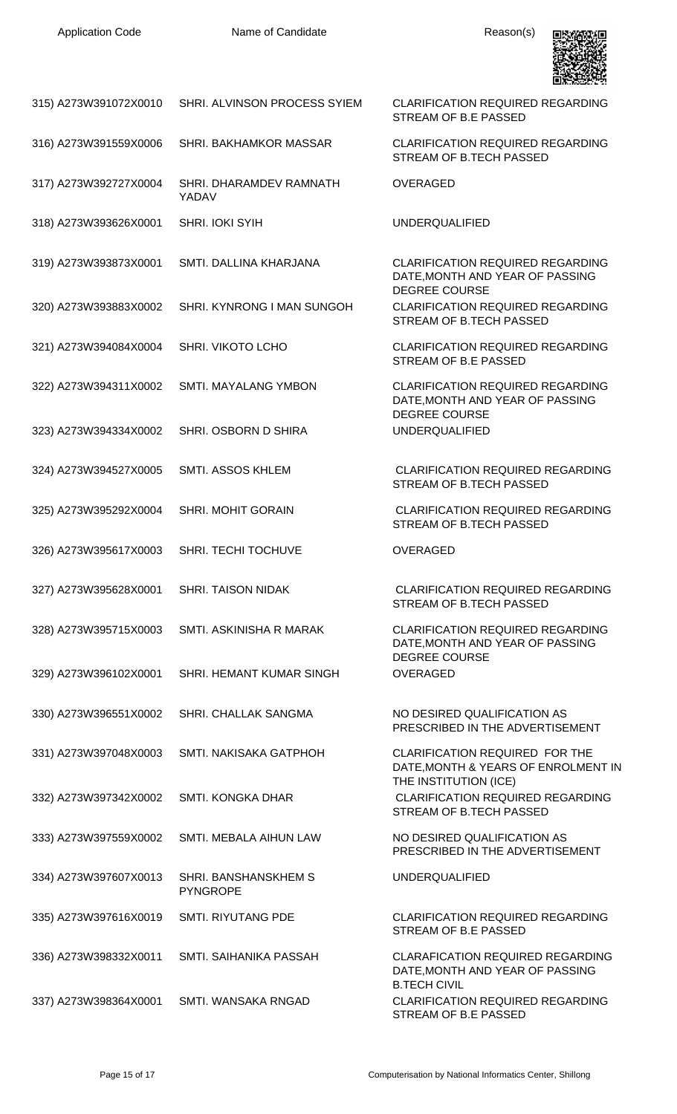

| 315) A273W391072X0010                    | SHRI. ALVINSON PROCESS SYIEM            | <b>CLARIFICATION REQUIRED REGARDING</b><br>STREAM OF B.E PASSED                                       |
|------------------------------------------|-----------------------------------------|-------------------------------------------------------------------------------------------------------|
| 316) A273W391559X0006                    | SHRI. BAKHAMKOR MASSAR                  | <b>CLARIFICATION REQUIRED REGARDING</b><br>STREAM OF B.TECH PASSED                                    |
| 317) A273W392727X0004                    | SHRI. DHARAMDEV RAMNATH<br>YADAV        | <b>OVERAGED</b>                                                                                       |
| 318) A273W393626X0001                    | SHRI. IOKI SYIH                         | <b>UNDERQUALIFIED</b>                                                                                 |
| 319) A273W393873X0001                    | SMTI. DALLINA KHARJANA                  | <b>CLARIFICATION REQUIRED REGARDING</b><br>DATE, MONTH AND YEAR OF PASSING<br><b>DEGREE COURSE</b>    |
| 320) A273W393883X0002                    | SHRI. KYNRONG I MAN SUNGOH              | <b>CLARIFICATION REQUIRED REGARDING</b><br>STREAM OF B.TECH PASSED                                    |
| 321) A273W394084X0004                    | SHRI. VIKOTO LCHO                       | <b>CLARIFICATION REQUIRED REGARDING</b><br>STREAM OF B.E PASSED                                       |
| 322) A273W394311X0002                    | <b>SMTI. MAYALANG YMBON</b>             | <b>CLARIFICATION REQUIRED REGARDING</b><br>DATE, MONTH AND YEAR OF PASSING<br><b>DEGREE COURSE</b>    |
| 323) A273W394334X0002                    | SHRI. OSBORN D SHIRA                    | <b>UNDERQUALIFIED</b>                                                                                 |
| 324) A273W394527X0005                    | SMTI. ASSOS KHLEM                       | <b>CLARIFICATION REQUIRED REGARDING</b><br>STREAM OF B.TECH PASSED                                    |
| 325) A273W395292X0004                    | <b>SHRI. MOHIT GORAIN</b>               | <b>CLARIFICATION REQUIRED REGARDING</b><br>STREAM OF B.TECH PASSED                                    |
| 326) A273W395617X0003                    | SHRI. TECHI TOCHUVE                     | <b>OVERAGED</b>                                                                                       |
| 327) A273W395628X0001 SHRI. TAISON NIDAK |                                         | <b>CLARIFICATION REQUIRED REGARDING</b><br>STREAM OF B.TECH PASSED                                    |
| 328) A273W395715X0003                    | SMTI. ASKINISHA R MARAK                 | <b>CLARIFICATION REQUIRED REGARDING</b><br>DATE, MONTH AND YEAR OF PASSING<br>DEGREE COURSE           |
| 329) A273W396102X0001                    | SHRI. HEMANT KUMAR SINGH                | <b>OVERAGED</b>                                                                                       |
| 330) A273W396551X0002                    | SHRI. CHALLAK SANGMA                    | NO DESIRED QUALIFICATION AS<br>PRESCRIBED IN THE ADVERTISEMENT                                        |
| 331) A273W397048X0003                    | SMTI. NAKISAKA GATPHOH                  | <b>CLARIFICATION REQUIRED FOR THE</b><br>DATE, MONTH & YEARS OF ENROLMENT IN<br>THE INSTITUTION (ICE) |
| 332) A273W397342X0002                    | <b>SMTI. KONGKA DHAR</b>                | <b>CLARIFICATION REQUIRED REGARDING</b><br>STREAM OF B.TECH PASSED                                    |
| 333) A273W397559X0002                    | SMTI. MEBALA AIHUN LAW                  | NO DESIRED QUALIFICATION AS<br>PRESCRIBED IN THE ADVERTISEMENT                                        |
| 334) A273W397607X0013                    | SHRI. BANSHANSKHEM S<br><b>PYNGROPE</b> | <b>UNDERQUALIFIED</b>                                                                                 |
| 335) A273W397616X0019                    | SMTI. RIYUTANG PDE                      | <b>CLARIFICATION REQUIRED REGARDING</b><br>STREAM OF B.E PASSED                                       |
| 336) A273W398332X0011                    | SMTI. SAIHANIKA PASSAH                  | <b>CLARAFICATION REQUIRED REGARDING</b><br>DATE, MONTH AND YEAR OF PASSING<br><b>B.TECH CIVIL</b>     |
| 337) A273W398364X0001                    | SMTI. WANSAKA RNGAD                     | <b>CLARIFICATION REQUIRED REGARDING</b><br>STREAM OF B.E PASSED                                       |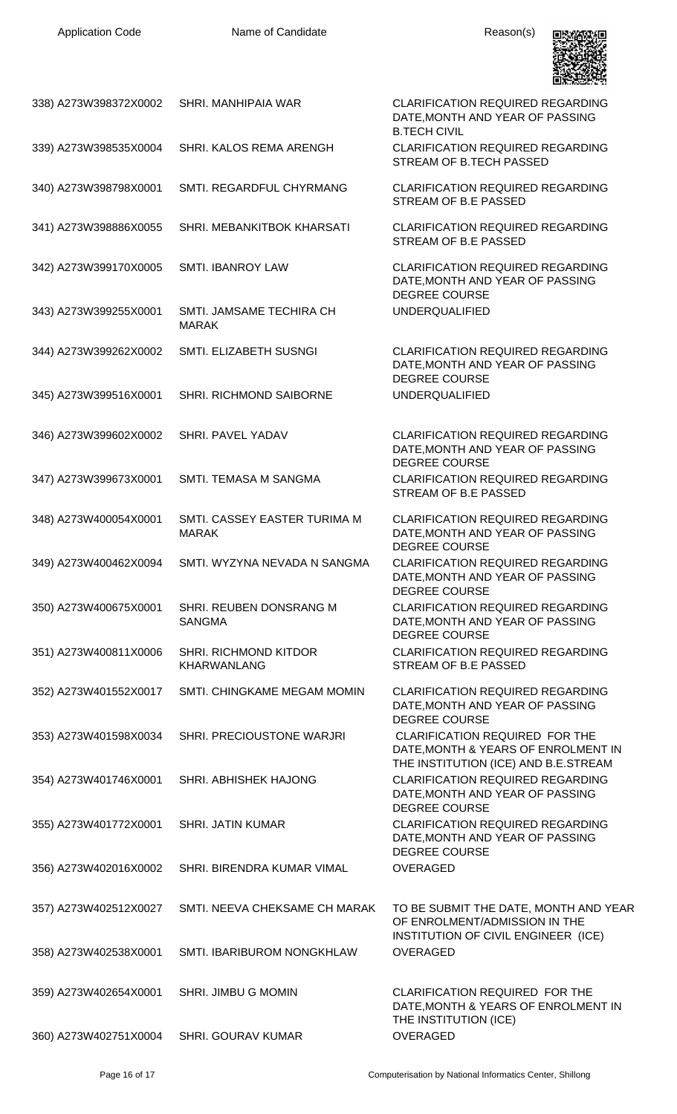

| 338) A273W398372X0002 | SHRI. MANHIPAIA WAR                          | <b>CLARIFICATION REQUIRED REGARDING</b><br>DATE, MONTH AND YEAR OF PASSING<br><b>B.TECH CIVIL</b>                    |
|-----------------------|----------------------------------------------|----------------------------------------------------------------------------------------------------------------------|
| 339) A273W398535X0004 | SHRI. KALOS REMA ARENGH                      | <b>CLARIFICATION REQUIRED REGARDING</b><br>STREAM OF B.TECH PASSED                                                   |
| 340) A273W398798X0001 | SMTI. REGARDFUL CHYRMANG                     | <b>CLARIFICATION REQUIRED REGARDING</b><br>STREAM OF B.E PASSED                                                      |
| 341) A273W398886X0055 | SHRI. MEBANKITBOK KHARSATI                   | <b>CLARIFICATION REQUIRED REGARDING</b><br>STREAM OF B.E PASSED                                                      |
| 342) A273W399170X0005 | <b>SMTI. IBANROY LAW</b>                     | <b>CLARIFICATION REQUIRED REGARDING</b><br>DATE, MONTH AND YEAR OF PASSING<br><b>DEGREE COURSE</b>                   |
| 343) A273W399255X0001 | SMTI. JAMSAME TECHIRA CH<br><b>MARAK</b>     | <b>UNDERQUALIFIED</b>                                                                                                |
| 344) A273W399262X0002 | SMTI. ELIZABETH SUSNGI                       | <b>CLARIFICATION REQUIRED REGARDING</b><br>DATE, MONTH AND YEAR OF PASSING<br><b>DEGREE COURSE</b>                   |
| 345) A273W399516X0001 | SHRI. RICHMOND SAIBORNE                      | <b>UNDERQUALIFIED</b>                                                                                                |
| 346) A273W399602X0002 | SHRI. PAVEL YADAV                            | <b>CLARIFICATION REQUIRED REGARDING</b><br>DATE, MONTH AND YEAR OF PASSING<br><b>DEGREE COURSE</b>                   |
| 347) A273W399673X0001 | SMTI. TEMASA M SANGMA                        | <b>CLARIFICATION REQUIRED REGARDING</b><br>STREAM OF B.E PASSED                                                      |
| 348) A273W400054X0001 | SMTI. CASSEY EASTER TURIMA M<br><b>MARAK</b> | <b>CLARIFICATION REQUIRED REGARDING</b><br>DATE, MONTH AND YEAR OF PASSING<br><b>DEGREE COURSE</b>                   |
| 349) A273W400462X0094 | SMTI. WYZYNA NEVADA N SANGMA                 | CLARIFICATION REQUIRED REGARDING<br>DATE, MONTH AND YEAR OF PASSING<br>DEGREE COURSE                                 |
| 350) A273W400675X0001 | SHRI. REUBEN DONSRANG M<br><b>SANGMA</b>     | <b>CLARIFICATION REQUIRED REGARDING</b><br>DATE, MONTH AND YEAR OF PASSING<br><b>DEGREE COURSE</b>                   |
| 351) A273W400811X0006 | SHRI. RICHMOND KITDOR<br><b>KHARWANLANG</b>  | <b>CLARIFICATION REQUIRED REGARDING</b><br>STREAM OF B.E PASSED                                                      |
| 352) A273W401552X0017 | SMTI. CHINGKAME MEGAM MOMIN                  | <b>CLARIFICATION REQUIRED REGARDING</b><br>DATE, MONTH AND YEAR OF PASSING<br><b>DEGREE COURSE</b>                   |
| 353) A273W401598X0034 | SHRI. PRECIOUSTONE WARJRI                    | <b>CLARIFICATION REQUIRED FOR THE</b><br>DATE, MONTH & YEARS OF ENROLMENT IN<br>THE INSTITUTION (ICE) AND B.E.STREAM |
| 354) A273W401746X0001 | SHRI. ABHISHEK HAJONG                        | <b>CLARIFICATION REQUIRED REGARDING</b><br>DATE, MONTH AND YEAR OF PASSING<br><b>DEGREE COURSE</b>                   |
| 355) A273W401772X0001 | <b>SHRI. JATIN KUMAR</b>                     | <b>CLARIFICATION REQUIRED REGARDING</b><br>DATE, MONTH AND YEAR OF PASSING<br><b>DEGREE COURSE</b>                   |
| 356) A273W402016X0002 | SHRI. BIRENDRA KUMAR VIMAL                   | <b>OVERAGED</b>                                                                                                      |
| 357) A273W402512X0027 | SMTI. NEEVA CHEKSAME CH MARAK                | TO BE SUBMIT THE DATE, MONTH AND YEAR<br>OF ENROLMENT/ADMISSION IN THE<br>INSTITUTION OF CIVIL ENGINEER (ICE)        |
| 358) A273W402538X0001 | SMTI. IBARIBUROM NONGKHLAW                   | <b>OVERAGED</b>                                                                                                      |
| 359) A273W402654X0001 | <b>SHRI. JIMBU G MOMIN</b>                   | <b>CLARIFICATION REQUIRED FOR THE</b><br>DATE, MONTH & YEARS OF ENROLMENT IN<br>THE INSTITUTION (ICE)                |
| 360) A273W402751X0004 | <b>SHRI. GOURAV KUMAR</b>                    | <b>OVERAGED</b>                                                                                                      |
|                       |                                              |                                                                                                                      |